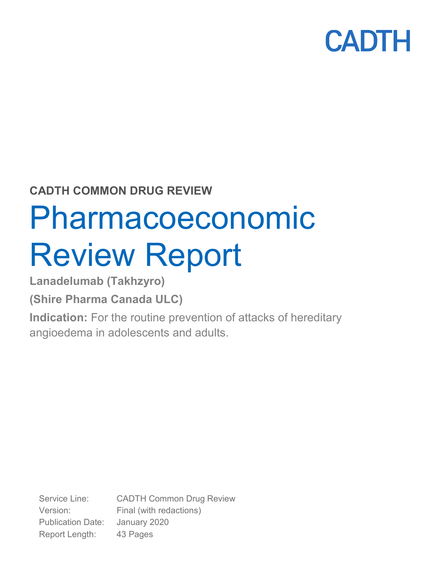

### **CADTH COMMON DRUG REVIEW**

# Pharmacoeconomic Review Report

**Lanadelumab (Takhzyro)**

**(Shire Pharma Canada ULC)**

**Indication:** For the routine prevention of attacks of hereditary angioedema in adolescents and adults.

Service Line: CADTH Common Drug Review Version: Final (with redactions) Publication Date: January 2020 Report Length: 43 Pages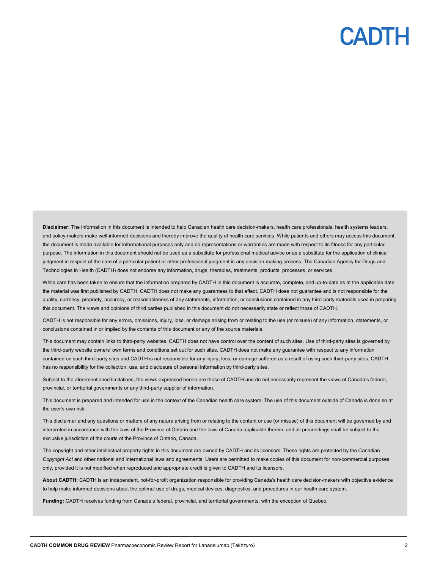**Disclaimer:** The information in this document is intended to help Canadian health care decision-makers, health care professionals, health systems leaders, and policy-makers make well-informed decisions and thereby improve the quality of health care services. While patients and others may access this document, the document is made available for informational purposes only and no representations or warranties are made with respect to its fitness for any particular purpose. The information in this document should not be used as a substitute for professional medical advice or as a substitute for the application of clinical judgment in respect of the care of a particular patient or other professional judgment in any decision-making process. The Canadian Agency for Drugs and Technologies in Health (CADTH) does not endorse any information, drugs, therapies, treatments, products, processes, or services.

While care has been taken to ensure that the information prepared by CADTH in this document is accurate, complete, and up-to-date as at the applicable date the material was first published by CADTH, CADTH does not make any guarantees to that effect. CADTH does not guarantee and is not responsible for the quality, currency, propriety, accuracy, or reasonableness of any statements, information, or conclusions contained in any third-party materials used in preparing this document. The views and opinions of third parties published in this document do not necessarily state or reflect those of CADTH.

CADTH is not responsible for any errors, omissions, injury, loss, or damage arising from or relating to the use (or misuse) of any information, statements, or conclusions contained in or implied by the contents of this document or any of the source materials.

This document may contain links to third-party websites. CADTH does not have control over the content of such sites. Use of third-party sites is governed by the third-party website owners' own terms and conditions set out for such sites. CADTH does not make any guarantee with respect to any information contained on such third-party sites and CADTH is not responsible for any injury, loss, or damage suffered as a result of using such third-party sites. CADTH has no responsibility for the collection, use, and disclosure of personal information by third-party sites.

Subject to the aforementioned limitations, the views expressed herein are those of CADTH and do not necessarily represent the views of Canada's federal, provincial, or territorial governments or any third-party supplier of information.

This document is prepared and intended for use in the context of the Canadian health care system. The use of this document outside of Canada is done so at the user's own risk.

This disclaimer and any questions or matters of any nature arising from or relating to the content or use (or misuse) of this document will be governed by and interpreted in accordance with the laws of the Province of Ontario and the laws of Canada applicable therein, and all proceedings shall be subject to the exclusive jurisdiction of the courts of the Province of Ontario, Canada.

The copyright and other intellectual property rights in this document are owned by CADTH and its licensors. These rights are protected by the Canadian *Copyright Act* and other national and international laws and agreements. Users are permitted to make copies of this document for non-commercial purposes only, provided it is not modified when reproduced and appropriate credit is given to CADTH and its licensors.

**About CADTH:** CADTH is an independent, not-for-profit organization responsible for providing Canada's health care decision-makers with objective evidence to help make informed decisions about the optimal use of drugs, medical devices, diagnostics, and procedures in our health care system.

**Funding:** CADTH receives funding from Canada's federal, provincial, and territorial governments, with the exception of Quebec.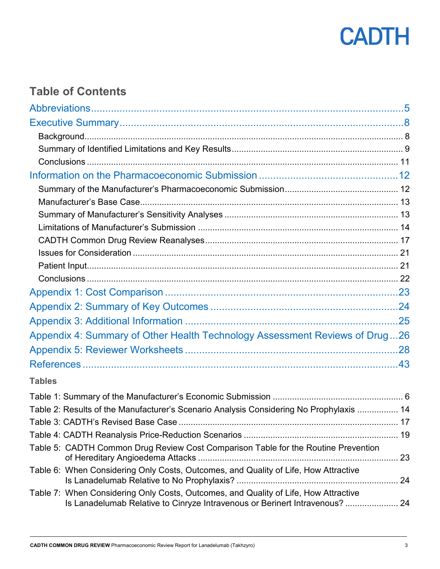

### **Table of Contents**

| Appendix 4: Summary of Other Health Technology Assessment Reviews of Drug26                                                                                        |  |
|--------------------------------------------------------------------------------------------------------------------------------------------------------------------|--|
|                                                                                                                                                                    |  |
|                                                                                                                                                                    |  |
| <b>Tables</b>                                                                                                                                                      |  |
|                                                                                                                                                                    |  |
| Table 2: Results of the Manufacturer's Scenario Analysis Considering No Prophylaxis  14                                                                            |  |
|                                                                                                                                                                    |  |
|                                                                                                                                                                    |  |
| Table 5: CADTH Common Drug Review Cost Comparison Table for the Routine Prevention                                                                                 |  |
| Table 6: When Considering Only Costs, Outcomes, and Quality of Life, How Attractive                                                                                |  |
| Table 7: When Considering Only Costs, Outcomes, and Quality of Life, How Attractive<br>Is Lanadelumab Relative to Cinryze Intravenous or Berinert Intravenous?  24 |  |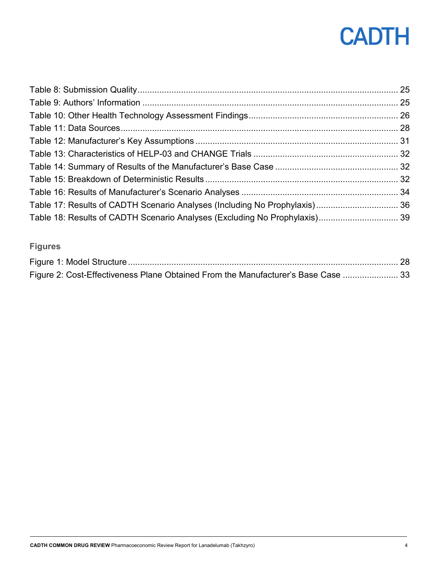| Table 17: Results of CADTH Scenario Analyses (Including No Prophylaxis) 36 |  |
|----------------------------------------------------------------------------|--|
| Table 18: Results of CADTH Scenario Analyses (Excluding No Prophylaxis) 39 |  |

### **Figures**

| Figure 2: Cost-Effectiveness Plane Obtained From the Manufacturer's Base Case  33 |  |
|-----------------------------------------------------------------------------------|--|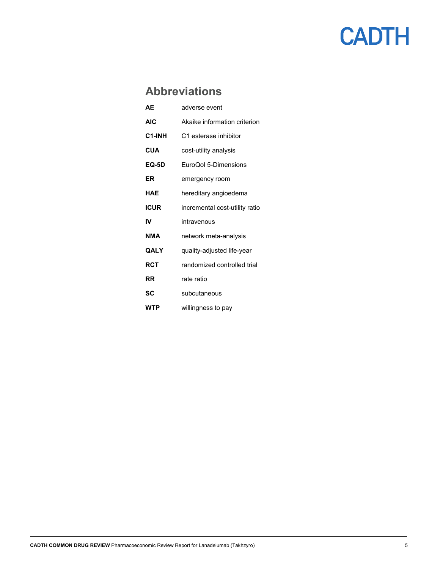### <span id="page-4-0"></span>**Abbreviations**

| AF           | adverse event                  |
|--------------|--------------------------------|
| <b>AIC</b>   | Akaike information criterion   |
| C1-INH       | C1 esterase inhibitor          |
| <b>CUA</b>   | cost-utility analysis          |
| <b>EQ-5D</b> | EuroQol 5-Dimensions           |
| ER           | emergency room                 |
| HAE          | hereditary angioedema          |
| <b>ICUR</b>  | incremental cost-utility ratio |
| IV           | intravenous                    |
| NMA          | network meta-analysis          |
| QALY         | quality-adjusted life-year     |
| RCT          | randomized controlled trial    |
| RR.          | rate ratio                     |
| SC           | subcutaneous                   |
| WTP          | willingness to pay             |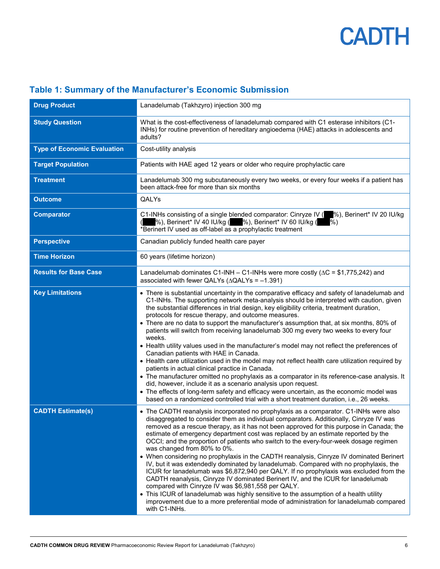| <b>Drug Product</b>                | Lanadelumab (Takhzyro) injection 300 mg                                                                                                                                                                                                                                                                                                                                                                                                                                                                                                                                                                                                                                                                                                                                                                                                                                                                                                                                                                                                                                                                                                                                                          |  |  |
|------------------------------------|--------------------------------------------------------------------------------------------------------------------------------------------------------------------------------------------------------------------------------------------------------------------------------------------------------------------------------------------------------------------------------------------------------------------------------------------------------------------------------------------------------------------------------------------------------------------------------------------------------------------------------------------------------------------------------------------------------------------------------------------------------------------------------------------------------------------------------------------------------------------------------------------------------------------------------------------------------------------------------------------------------------------------------------------------------------------------------------------------------------------------------------------------------------------------------------------------|--|--|
| <b>Study Question</b>              | What is the cost-effectiveness of lanadelumab compared with C1 esterase inhibitors (C1-<br>INHs) for routine prevention of hereditary angioedema (HAE) attacks in adolescents and<br>adults?                                                                                                                                                                                                                                                                                                                                                                                                                                                                                                                                                                                                                                                                                                                                                                                                                                                                                                                                                                                                     |  |  |
| <b>Type of Economic Evaluation</b> | Cost-utility analysis                                                                                                                                                                                                                                                                                                                                                                                                                                                                                                                                                                                                                                                                                                                                                                                                                                                                                                                                                                                                                                                                                                                                                                            |  |  |
| <b>Target Population</b>           | Patients with HAE aged 12 years or older who require prophylactic care                                                                                                                                                                                                                                                                                                                                                                                                                                                                                                                                                                                                                                                                                                                                                                                                                                                                                                                                                                                                                                                                                                                           |  |  |
| <b>Treatment</b>                   | Lanadelumab 300 mg subcutaneously every two weeks, or every four weeks if a patient has<br>been attack-free for more than six months                                                                                                                                                                                                                                                                                                                                                                                                                                                                                                                                                                                                                                                                                                                                                                                                                                                                                                                                                                                                                                                             |  |  |
| <b>Outcome</b>                     | QALYs                                                                                                                                                                                                                                                                                                                                                                                                                                                                                                                                                                                                                                                                                                                                                                                                                                                                                                                                                                                                                                                                                                                                                                                            |  |  |
| <b>Comparator</b>                  | C1-INHs consisting of a single blended comparator: Cinryze IV ( <sup>96</sup> ), Berinert* IV 20 IU/kg<br>%), Berinert* IV 40 IU/kg ( %), Berinert* IV 60 IU/kg ( %)<br>*Berinert IV used as off-label as a prophylactic treatment                                                                                                                                                                                                                                                                                                                                                                                                                                                                                                                                                                                                                                                                                                                                                                                                                                                                                                                                                               |  |  |
| <b>Perspective</b>                 | Canadian publicly funded health care payer                                                                                                                                                                                                                                                                                                                                                                                                                                                                                                                                                                                                                                                                                                                                                                                                                                                                                                                                                                                                                                                                                                                                                       |  |  |
| <b>Time Horizon</b>                | 60 years (lifetime horizon)                                                                                                                                                                                                                                                                                                                                                                                                                                                                                                                                                                                                                                                                                                                                                                                                                                                                                                                                                                                                                                                                                                                                                                      |  |  |
| <b>Results for Base Case</b>       | Lanadelumab dominates C1-INH – C1-INHs were more costly ( $\Delta C = $1,775,242$ ) and<br>associated with fewer QALYs ( $\triangle QALYs = -1.391$ )                                                                                                                                                                                                                                                                                                                                                                                                                                                                                                                                                                                                                                                                                                                                                                                                                                                                                                                                                                                                                                            |  |  |
| <b>Key Limitations</b>             | • There is substantial uncertainty in the comparative efficacy and safety of lanadelumab and<br>C1-INHs. The supporting network meta-analysis should be interpreted with caution, given<br>the substantial differences in trial design, key eligibility criteria, treatment duration,<br>protocols for rescue therapy, and outcome measures.<br>• There are no data to support the manufacturer's assumption that, at six months, 80% of<br>patients will switch from receiving lanadelumab 300 mg every two weeks to every four<br>weeks.<br>• Health utility values used in the manufacturer's model may not reflect the preferences of<br>Canadian patients with HAE in Canada.<br>• Health care utilization used in the model may not reflect health care utilization required by<br>patients in actual clinical practice in Canada.<br>• The manufacturer omitted no prophylaxis as a comparator in its reference-case analysis. It<br>did, however, include it as a scenario analysis upon request.<br>• The effects of long-term safety and efficacy were uncertain, as the economic model was<br>based on a randomized controlled trial with a short treatment duration, i.e., 26 weeks. |  |  |
| <b>CADTH Estimate(s)</b>           | • The CADTH reanalysis incorporated no prophylaxis as a comparator. C1-INHs were also<br>disaggregated to consider them as individual comparators. Additionally, Cinryze IV was<br>removed as a rescue therapy, as it has not been approved for this purpose in Canada; the<br>estimate of emergency department cost was replaced by an estimate reported by the<br>OCCI; and the proportion of patients who switch to the every-four-week dosage regimen<br>was changed from 80% to 0%.<br>• When considering no prophylaxis in the CADTH reanalysis, Cinryze IV dominated Berinert<br>IV, but it was extendedly dominated by lanadelumab. Compared with no prophylaxis, the<br>ICUR for lanadelumab was \$6,872,940 per QALY. If no prophylaxis was excluded from the<br>CADTH reanalysis, Cinryze IV dominated Berinert IV, and the ICUR for lanadelumab<br>compared with Cinryze IV was \$6,981,558 per QALY.<br>• This ICUR of lanadelumab was highly sensitive to the assumption of a health utility<br>improvement due to a more preferential mode of administration for lanadelumab compared<br>with C1-INHs.                                                                            |  |  |

#### <span id="page-5-0"></span>**Table 1: Summary of the Manufacturer's Economic Submission**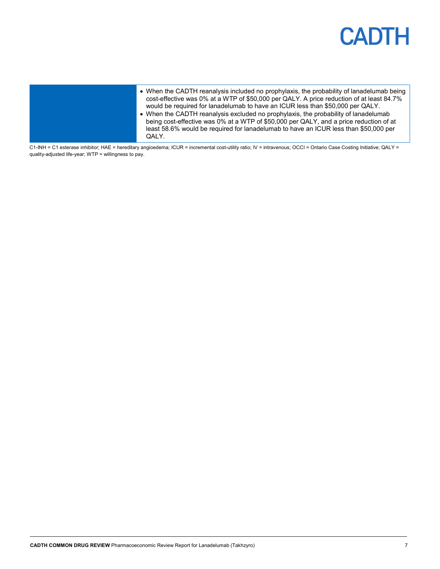| cost-effective was 0% at a WTP of \$50,000 per QALY. A price reduction of at least 84.7%<br>would be required for lanadelumab to have an ICUR less than \$50,000 per QALY.<br>• When the CADTH reanalysis excluded no prophylaxis, the probability of lanadelumab<br>being cost-effective was 0% at a WTP of \$50,000 per QALY, and a price reduction of at<br>least 58.6% would be required for lanadelumab to have an ICUR less than \$50,000 per<br>QALY. |
|--------------------------------------------------------------------------------------------------------------------------------------------------------------------------------------------------------------------------------------------------------------------------------------------------------------------------------------------------------------------------------------------------------------------------------------------------------------|
|--------------------------------------------------------------------------------------------------------------------------------------------------------------------------------------------------------------------------------------------------------------------------------------------------------------------------------------------------------------------------------------------------------------------------------------------------------------|

C1-INH = C1 esterase inhibitor; HAE = hereditary angioedema; ICUR = incremental cost-utility ratio; IV = intravenous; OCCI = Ontario Case Costing Initiative; QALY = quality-adjusted life-year; WTP = willingness to pay.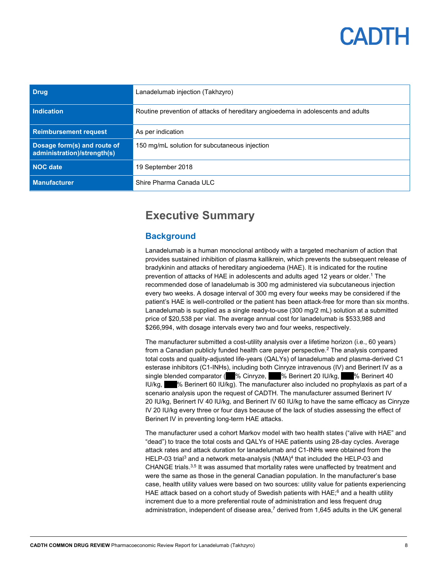| <b>Drug</b>                                                | Lanadelumab injection (Takhzyro)                                                 |
|------------------------------------------------------------|----------------------------------------------------------------------------------|
| Indication                                                 | Routine prevention of attacks of hereditary angioedema in adolescents and adults |
| <b>Reimbursement request</b>                               | As per indication                                                                |
| Dosage form(s) and route of<br>administration)/strength(s) | 150 mg/mL solution for subcutaneous injection                                    |
| NOC date                                                   | 19 September 2018                                                                |
| <b>Manufacturer</b>                                        | Shire Pharma Canada ULC                                                          |

### <span id="page-7-0"></span>**Executive Summary**

#### <span id="page-7-1"></span>**Background**

Lanadelumab is a human monoclonal antibody with a targeted mechanism of action that provides sustained inhibition of plasma kallikrein, which prevents the subsequent release of bradykinin and attacks of hereditary angioedema (HAE). It is indicated for the routine prevention of attacks of HAE in adolescents and adults aged 12 years or older.1 The recommended dose of lanadelumab is 300 mg administered via subcutaneous injection every two weeks. A dosage interval of 300 mg every four weeks may be considered if the patient's HAE is well-controlled or the patient has been attack-free for more than six months. Lanadelumab is supplied as a single ready-to-use (300 mg/2 mL) solution at a submitted price of \$20,538 per vial. The average annual cost for lanadelumab is \$533,988 and \$266,994, with dosage intervals every two and four weeks, respectively.

The manufacturer submitted a cost-utility analysis over a lifetime horizon (i.e., 60 years) from a Canadian publicly funded health care payer perspective. <sup>2</sup> The analysis compared total costs and quality-adjusted life-years (QALYs) of lanadelumab and plasma-derived C1 esterase inhibitors (C1-INHs), including both Cinryze intravenous (IV) and Berinert IV as a single blended comparator (<sup>9</sup>% Cinryze, <sup>9</sup>% Berinert 20 IU/kg, <sup>9</sup>% Berinert 40  $IUVkg$ ,  $\%$  Berinert 60 IU/kg). The manufacturer also included no prophylaxis as part of a scenario analysis upon the request of CADTH. The manufacturer assumed Berinert IV 20 IU/kg, Berinert IV 40 IU/kg, and Berinert IV 60 IU/kg to have the same efficacy as Cinryze IV 20 IU/kg every three or four days because of the lack of studies assessing the effect of Berinert IV in preventing long-term HAE attacks.

The manufacturer used a cohort Markov model with two health states ("alive with HAE" and "dead") to trace the total costs and QALYs of HAE patients using 28-day cycles. Average attack rates and attack duration for lanadelumab and C1-INHs were obtained from the HELP-03 trial<sup>3</sup> and a network meta-analysis (NMA)<sup>4</sup> that included the HELP-03 and CHANGE trials.<sup>3,5</sup> It was assumed that mortality rates were unaffected by treatment and were the same as those in the general Canadian population. In the manufacturer's base case, health utility values were based on two sources: utility value for patients experiencing HAE attack based on a cohort study of Swedish patients with HAE;<sup>6</sup> and a health utility increment due to a more preferential route of administration and less frequent drug administration, independent of disease area, <sup>7</sup> derived from 1,645 adults in the UK general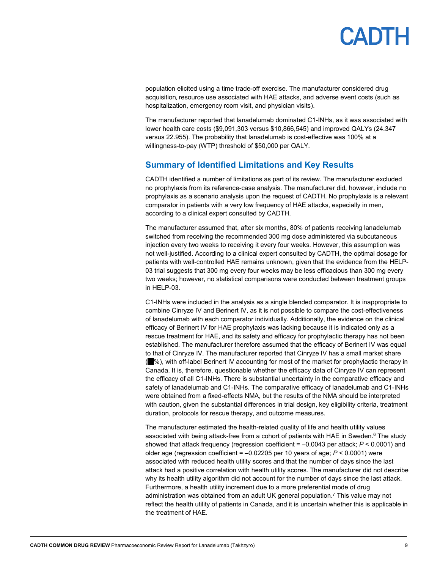population elicited using a time trade-off exercise. The manufacturer considered drug acquisition, resource use associated with HAE attacks, and adverse event costs (such as hospitalization, emergency room visit, and physician visits).

The manufacturer reported that lanadelumab dominated C1-INHs, as it was associated with lower health care costs (\$9,091,303 versus \$10,866,545) and improved QALYs (24.347 versus 22.955). The probability that lanadelumab is cost-effective was 100% at a willingness-to-pay (WTP) threshold of \$50,000 per QALY.

#### <span id="page-8-0"></span>**Summary of Identified Limitations and Key Results**

CADTH identified a number of limitations as part of its review. The manufacturer excluded no prophylaxis from its reference-case analysis. The manufacturer did, however, include no prophylaxis as a scenario analysis upon the request of CADTH. No prophylaxis is a relevant comparator in patients with a very low frequency of HAE attacks, especially in men, according to a clinical expert consulted by CADTH.

The manufacturer assumed that, after six months, 80% of patients receiving lanadelumab switched from receiving the recommended 300 mg dose administered via subcutaneous injection every two weeks to receiving it every four weeks. However, this assumption was not well-justified. According to a clinical expert consulted by CADTH, the optimal dosage for patients with well-controlled HAE remains unknown, given that the evidence from the HELP-03 trial suggests that 300 mg every four weeks may be less efficacious than 300 mg every two weeks; however, no statistical comparisons were conducted between treatment groups in HELP-03.

C1-INHs were included in the analysis as a single blended comparator. It is inappropriate to combine Cinryze IV and Berinert IV, as it is not possible to compare the cost-effectiveness of lanadelumab with each comparator individually. Additionally, the evidence on the clinical efficacy of Berinert IV for HAE prophylaxis was lacking because it is indicated only as a rescue treatment for HAE, and its safety and efficacy for prophylactic therapy has not been established. The manufacturer therefore assumed that the efficacy of Berinert IV was equal to that of Cinryze IV. The manufacturer reported that Cinryze IV has a small market share  $\sim$  %), with off-label Berinert IV accounting for most of the market for prophylactic therapy in Canada. It is, therefore, questionable whether the efficacy data of Cinryze IV can represent the efficacy of all C1-INHs. There is substantial uncertainty in the comparative efficacy and safety of lanadelumab and C1-INHs. The comparative efficacy of lanadelumab and C1-INHs were obtained from a fixed-effects NMA, but the results of the NMA should be interpreted with caution, given the substantial differences in trial design, key eligibility criteria, treatment duration, protocols for rescue therapy, and outcome measures.

The manufacturer estimated the health-related quality of life and health utility values associated with being attack-free from a cohort of patients with HAE in Sweden.<sup>6</sup> The study showed that attack frequency (regression coefficient =  $-0.0043$  per attack;  $P < 0.0001$ ) and older age (regression coefficient = –0.02205 per 10 years of age; *P* < 0.0001) were associated with reduced health utility scores and that the number of days since the last attack had a positive correlation with health utility scores. The manufacturer did not describe why its health utility algorithm did not account for the number of days since the last attack. Furthermore, a health utility increment due to a more preferential mode of drug administration was obtained from an adult UK general population. <sup>7</sup> This value may not reflect the health utility of patients in Canada, and it is uncertain whether this is applicable in the treatment of HAE.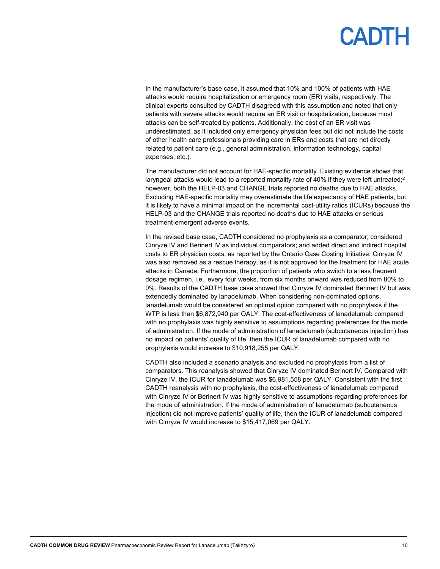In the manufacturer's base case, it assumed that 10% and 100% of patients with HAE attacks would require hospitalization or emergency room (ER) visits, respectively. The clinical experts consulted by CADTH disagreed with this assumption and noted that only patients with severe attacks would require an ER visit or hospitalization, because most attacks can be self-treated by patients. Additionally, the cost of an ER visit was underestimated, as it included only emergency physician fees but did not include the costs of other health care professionals providing care in ERs and costs that are not directly related to patient care (e.g., general administration, information technology, capital expenses, etc.).

The manufacturer did not account for HAE-specific mortality. Existing evidence shows that laryngeal attacks would lead to a reported mortality rate of 40% if they were left untreated; 2 however, both the HELP-03 and CHANGE trials reported no deaths due to HAE attacks. Excluding HAE-specific mortality may overestimate the life expectancy of HAE patients, but it is likely to have a minimal impact on the incremental cost-utility ratios (ICURs) because the HELP-03 and the CHANGE trials reported no deaths due to HAE attacks or serious treatment-emergent adverse events.

In the revised base case, CADTH considered no prophylaxis as a comparator; considered Cinryze IV and Berinert IV as individual comparators; and added direct and indirect hospital costs to ER physician costs, as reported by the Ontario Case Costing Initiative. Cinryze IV was also removed as a rescue therapy, as it is not approved for the treatment for HAE acute attacks in Canada. Furthermore, the proportion of patients who switch to a less frequent dosage regimen, i.e., every four weeks, from six months onward was reduced from 80% to 0%. Results of the CADTH base case showed that Cinryze IV dominated Berinert IV but was extendedly dominated by lanadelumab. When considering non-dominated options, lanadelumab would be considered an optimal option compared with no prophylaxis if the WTP is less than \$6,872,940 per QALY. The cost-effectiveness of lanadelumab compared with no prophylaxis was highly sensitive to assumptions regarding preferences for the mode of administration. If the mode of administration of lanadelumab (subcutaneous injection) has no impact on patients' quality of life, then the ICUR of lanadelumab compared with no prophylaxis would increase to \$10,918,255 per QALY.

CADTH also included a scenario analysis and excluded no prophylaxis from a list of comparators. This reanalysis showed that Cinryze IV dominated Berinert IV. Compared with Cinryze IV, the ICUR for lanadelumab was \$6,981,558 per QALY. Consistent with the first CADTH reanalysis with no prophylaxis, the cost-effectiveness of lanadelumab compared with Cinryze IV or Berinert IV was highly sensitive to assumptions regarding preferences for the mode of administration. If the mode of administration of lanadelumab (subcutaneous injection) did not improve patients' quality of life, then the ICUR of lanadelumab compared with Cinryze IV would increase to \$15,417,069 per QALY.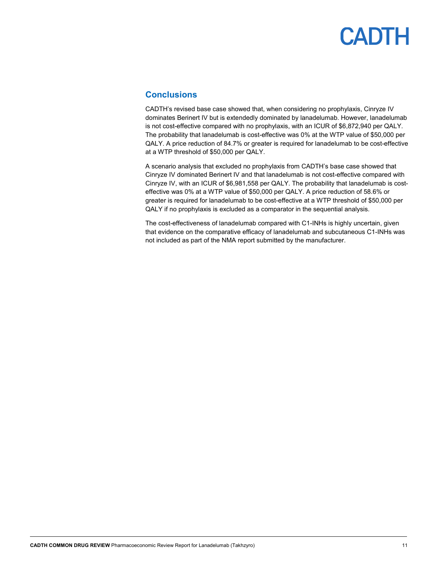#### <span id="page-10-0"></span>**Conclusions**

CADTH's revised base case showed that, when considering no prophylaxis, Cinryze IV dominates Berinert IV but is extendedly dominated by lanadelumab. However, lanadelumab is not cost-effective compared with no prophylaxis, with an ICUR of \$6,872,940 per QALY. The probability that lanadelumab is cost-effective was 0% at the WTP value of \$50,000 per QALY. A price reduction of 84.7% or greater is required for lanadelumab to be cost-effective at a WTP threshold of \$50,000 per QALY.

A scenario analysis that excluded no prophylaxis from CADTH's base case showed that Cinryze IV dominated Berinert IV and that lanadelumab is not cost-effective compared with Cinryze IV, with an ICUR of \$6,981,558 per QALY. The probability that lanadelumab is costeffective was 0% at a WTP value of \$50,000 per QALY. A price reduction of 58.6% or greater is required for lanadelumab to be cost-effective at a WTP threshold of \$50,000 per QALY if no prophylaxis is excluded as a comparator in the sequential analysis.

The cost-effectiveness of lanadelumab compared with C1-INHs is highly uncertain, given that evidence on the comparative efficacy of lanadelumab and subcutaneous C1-INHs was not included as part of the NMA report submitted by the manufacturer.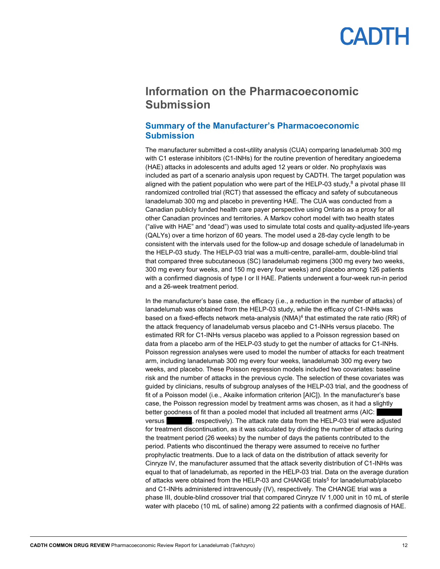### <span id="page-11-0"></span>**Information on the Pharmacoeconomic Submission**

#### <span id="page-11-1"></span>**Summary of the Manufacturer's Pharmacoeconomic Submission**

The manufacturer submitted a cost-utility analysis (CUA) comparing lanadelumab 300 mg with C1 esterase inhibitors (C1-INHs) for the routine prevention of hereditary angioedema (HAE) attacks in adolescents and adults aged 12 years or older. No prophylaxis was included as part of a scenario analysis upon request by CADTH. The target population was aligned with the patient population who were part of the HELP-03 study,<sup>8</sup> a pivotal phase III randomized controlled trial (RCT) that assessed the efficacy and safety of subcutaneous lanadelumab 300 mg and placebo in preventing HAE. The CUA was conducted from a Canadian publicly funded health care payer perspective using Ontario as a proxy for all other Canadian provinces and territories. A Markov cohort model with two health states ("alive with HAE" and "dead") was used to simulate total costs and quality-adjusted life-years (QALYs) over a time horizon of 60 years. The model used a 28-day cycle length to be consistent with the intervals used for the follow-up and dosage schedule of lanadelumab in the HELP-03 study. The HELP-03 trial was a multi-centre, parallel-arm, double-blind trial that compared three subcutaneous (SC) lanadelumab regimens (300 mg every two weeks, 300 mg every four weeks, and 150 mg every four weeks) and placebo among 126 patients with a confirmed diagnosis of type I or II HAE. Patients underwent a four-week run-in period and a 26-week treatment period.

In the manufacturer's base case, the efficacy (i.e., a reduction in the number of attacks) of lanadelumab was obtained from the HELP-03 study, while the efficacy of C1-INHs was based on a fixed-effects network meta-analysis  $(NMA)^4$  that estimated the rate ratio  $(RR)$  of the attack frequency of lanadelumab versus placebo and C1-INHs versus placebo. The estimated RR for C1-INHs versus placebo was applied to a Poisson regression based on data from a placebo arm of the HELP-03 study to get the number of attacks for C1-INHs. Poisson regression analyses were used to model the number of attacks for each treatment arm, including lanadelumab 300 mg every four weeks, lanadelumab 300 mg every two weeks, and placebo. These Poisson regression models included two covariates: baseline risk and the number of attacks in the previous cycle. The selection of these covariates was guided by clinicians, results of subgroup analyses of the HELP-03 trial, and the goodness of fit of a Poisson model (i.e., Akaike information criterion [AIC]). In the manufacturer's base case, the Poisson regression model by treatment arms was chosen, as it had a slightly better goodness of fit than a pooled model that included all treatment arms (AIC: versus versus were respectively). The attack rate data from the HELP-03 trial were adjusted for treatment discontinuation, as it was calculated by dividing the number of attacks during the treatment period (26 weeks) by the number of days the patients contributed to the period. Patients who discontinued the therapy were assumed to receive no further prophylactic treatments. Due to a lack of data on the distribution of attack severity for Cinryze IV, the manufacturer assumed that the attack severity distribution of C1-INHs was equal to that of lanadelumab, as reported in the HELP-03 trial. Data on the average duration of attacks were obtained from the HELP-03 and CHANGE trials<sup>5</sup> for lanadelumab/placebo and C1-INHs administered intravenously (IV), respectively. The CHANGE trial was a phase III, double-blind crossover trial that compared Cinryze IV 1,000 unit in 10 mL of sterile water with placebo (10 mL of saline) among 22 patients with a confirmed diagnosis of HAE.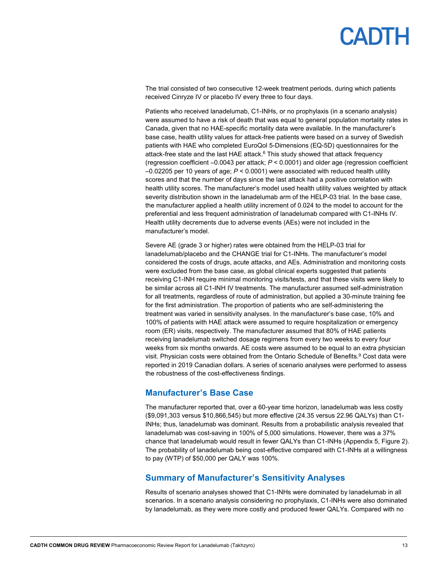The trial consisted of two consecutive 12-week treatment periods, during which patients received Cinryze IV or placebo IV every three to four days.

Patients who received lanadelumab, C1-INHs, or no prophylaxis (in a scenario analysis) were assumed to have a risk of death that was equal to general population mortality rates in Canada, given that no HAE-specific mortality data were available. In the manufacturer's base case, health utility values for attack-free patients were based on a survey of Swedish patients with HAE who completed EuroQol 5-Dimensions (EQ-5D) questionnaires for the attack-free state and the last HAE attack. <sup>6</sup> This study showed that attack frequency (regression coefficient –0.0043 per attack; *P* < 0.0001) and older age (regression coefficient –0.02205 per 10 years of age; *P* < 0.0001) were associated with reduced health utility scores and that the number of days since the last attack had a positive correlation with health utility scores. The manufacturer's model used health utility values weighted by attack severity distribution shown in the lanadelumab arm of the HELP-03 trial. In the base case, the manufacturer applied a health utility increment of 0.024 to the model to account for the preferential and less frequent administration of lanadelumab compared with C1-INHs IV. Health utility decrements due to adverse events (AEs) were not included in the manufacturer's model.

Severe AE (grade 3 or higher) rates were obtained from the HELP-03 trial for lanadelumab/placebo and the CHANGE trial for C1-INHs. The manufacturer's model considered the costs of drugs, acute attacks, and AEs. Administration and monitoring costs were excluded from the base case, as global clinical experts suggested that patients receiving C1-INH require minimal monitoring visits/tests, and that these visits were likely to be similar across all C1-INH IV treatments. The manufacturer assumed self-administration for all treatments, regardless of route of administration, but applied a 30-minute training fee for the first administration. The proportion of patients who are self-administering the treatment was varied in sensitivity analyses. In the manufacturer's base case, 10% and 100% of patients with HAE attack were assumed to require hospitalization or emergency room (ER) visits, respectively. The manufacturer assumed that 80% of HAE patients receiving lanadelumab switched dosage regimens from every two weeks to every four weeks from six months onwards. AE costs were assumed to be equal to an extra physician visit. Physician costs were obtained from the Ontario Schedule of Benefits. <sup>9</sup> Cost data were reported in 2019 Canadian dollars. A series of scenario analyses were performed to assess the robustness of the cost-effectiveness findings.

#### <span id="page-12-0"></span>**Manufacturer's Base Case**

The manufacturer reported that, over a 60-year time horizon, lanadelumab was less costly (\$9,091,303 versus \$10,866,545) but more effective (24.35 versus 22.96 QALYs) than C1- INHs; thus, lanadelumab was dominant. Results from a probabilistic analysis revealed that lanadelumab was cost-saving in 100% of 5,000 simulations. However, there was a 37% chance that lanadelumab would result in fewer QALYs than C1-INHs (Appendix 5, Figure 2). The probability of lanadelumab being cost-effective compared with C1-INHs at a willingness to pay (WTP) of \$50,000 per QALY was 100%.

#### <span id="page-12-1"></span>**Summary of Manufacturer's Sensitivity Analyses**

Results of scenario analyses showed that C1-INHs were dominated by lanadelumab in all scenarios. In a scenario analysis considering no prophylaxis, C1-INHs were also dominated by lanadelumab, as they were more costly and produced fewer QALYs. Compared with no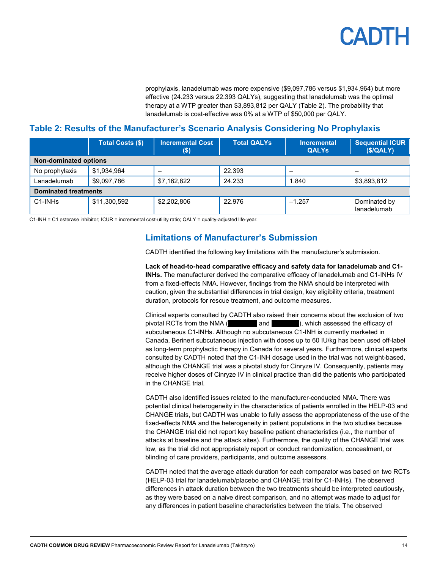prophylaxis, lanadelumab was more expensive (\$9,097,786 versus \$1,934,964) but more effective (24.233 versus 22.393 QALYs), suggesting that lanadelumab was the optimal therapy at a WTP greater than \$3,893,812 per QALY (Table 2). The probability that lanadelumab is cost-effective was 0% at a WTP of \$50,000 per QALY.

#### <span id="page-13-1"></span>**Table 2: Results of the Manufacturer's Scenario Analysis Considering No Prophylaxis**

|                                  | <b>Total Costs (\$)</b> | <b>Incremental Cost</b><br>$($ \$) | <b>Total QALYs</b> | <b>Incremental</b><br><b>QALYs</b> | $\overline{\phantom{a}}$ Sequential ICUR $\overline{\phantom{a}}$<br>(S/QALY) |
|----------------------------------|-------------------------|------------------------------------|--------------------|------------------------------------|-------------------------------------------------------------------------------|
| <b>Non-dominated options</b>     |                         |                                    |                    |                                    |                                                                               |
| No prophylaxis                   | \$1,934,964             | -                                  | 22.393             |                                    |                                                                               |
| Lanadelumab                      | \$9,097,786             | \$7,162,822                        | 24.233             | 1.840                              | \$3,893,812                                                                   |
| <b>Dominated treatments</b>      |                         |                                    |                    |                                    |                                                                               |
| C <sub>1</sub> -INH <sub>s</sub> | \$11,300,592            | \$2,202,806                        | 22.976             | $-1.257$                           | Dominated by<br>lanadelumab                                                   |

<span id="page-13-0"></span>C1-INH = C1 esterase inhibitor; ICUR = incremental cost-utility ratio; QALY = quality-adjusted life-year.

#### **Limitations of Manufacturer's Submission**

CADTH identified the following key limitations with the manufacturer's submission.

**Lack of head-to-head comparative efficacy and safety data for lanadelumab and C1- INHs.** The manufacturer derived the comparative efficacy of lanadelumab and C1-INHs IV from a fixed-effects NMA. However, findings from the NMA should be interpreted with caution, given the substantial differences in trial design, key eligibility criteria, treatment duration, protocols for rescue treatment, and outcome measures.

Clinical experts consulted by CADTH also raised their concerns about the exclusion of two pivotal RCTs from the NMA (and value of and virial), which assessed the efficacy of subcutaneous C1-INHs. Although no subcutaneous C1-INH is currently marketed in Canada, Berinert subcutaneous injection with doses up to 60 IU/kg has been used off-label as long-term prophylactic therapy in Canada for several years. Furthermore, clinical experts consulted by CADTH noted that the C1-INH dosage used in the trial was not weight-based, although the CHANGE trial was a pivotal study for Cinryze IV. Consequently, patients may receive higher doses of Cinryze IV in clinical practice than did the patients who participated in the CHANGE trial.

CADTH also identified issues related to the manufacturer-conducted NMA. There was potential clinical heterogeneity in the characteristics of patients enrolled in the HELP-03 and CHANGE trials, but CADTH was unable to fully assess the appropriateness of the use of the fixed-effects NMA and the heterogeneity in patient populations in the two studies because the CHANGE trial did not report key baseline patient characteristics (i.e., the number of attacks at baseline and the attack sites). Furthermore, the quality of the CHANGE trial was low, as the trial did not appropriately report or conduct randomization, concealment, or blinding of care providers, participants, and outcome assessors.

CADTH noted that the average attack duration for each comparator was based on two RCTs (HELP-03 trial for lanadelumab/placebo and CHANGE trial for C1-INHs). The observed differences in attack duration between the two treatments should be interpreted cautiously, as they were based on a naive direct comparison, and no attempt was made to adjust for any differences in patient baseline characteristics between the trials. The observed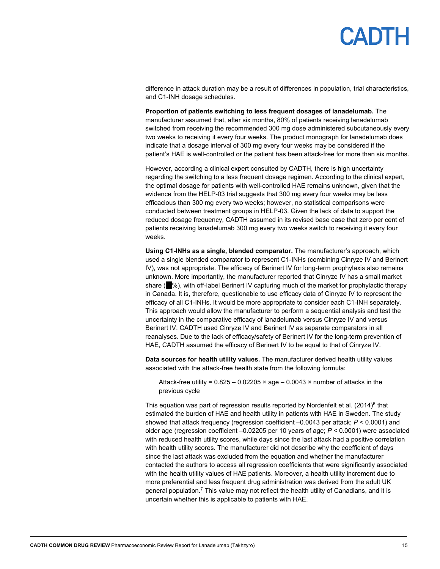difference in attack duration may be a result of differences in population, trial characteristics, and C1-INH dosage schedules.

**Proportion of patients switching to less frequent dosages of lanadelumab.** The manufacturer assumed that, after six months, 80% of patients receiving lanadelumab switched from receiving the recommended 300 mg dose administered subcutaneously every two weeks to receiving it every four weeks. The product monograph for lanadelumab does indicate that a dosage interval of 300 mg every four weeks may be considered if the patient's HAE is well-controlled or the patient has been attack-free for more than six months.

However, according a clinical expert consulted by CADTH, there is high uncertainty regarding the switching to a less frequent dosage regimen. According to the clinical expert, the optimal dosage for patients with well-controlled HAE remains unknown, given that the evidence from the HELP-03 trial suggests that 300 mg every four weeks may be less efficacious than 300 mg every two weeks; however, no statistical comparisons were conducted between treatment groups in HELP-03. Given the lack of data to support the reduced dosage frequency, CADTH assumed in its revised base case that zero per cent of patients receiving lanadelumab 300 mg every two weeks switch to receiving it every four weeks.

**Using C1-INHs as a single, blended comparator.** The manufacturer's approach, which used a single blended comparator to represent C1-INHs (combining Cinryze IV and Berinert IV), was not appropriate. The efficacy of Berinert IV for long-term prophylaxis also remains unknown. More importantly, the manufacturer reported that Cinryze IV has a small market share ( $\%$ ), with off-label Berinert IV capturing much of the market for prophylactic therapy in Canada. It is, therefore, questionable to use efficacy data of Cinryze IV to represent the efficacy of all C1-INHs. It would be more appropriate to consider each C1-INH separately. This approach would allow the manufacturer to perform a sequential analysis and test the uncertainty in the comparative efficacy of lanadelumab versus Cinryze IV and versus Berinert IV. CADTH used Cinryze IV and Berinert IV as separate comparators in all reanalyses. Due to the lack of efficacy/safety of Berinert IV for the long-term prevention of HAE, CADTH assumed the efficacy of Berinert IV to be equal to that of Cinryze IV.

**Data sources for health utility values.** The manufacturer derived health utility values associated with the attack-free health state from the following formula:

Attack-free utility =  $0.825 - 0.02205 \times age - 0.0043 \times number of attacks in the$ previous cycle

This equation was part of regression results reported by Nordenfelt et al.  $(2014)^6$  that estimated the burden of HAE and health utility in patients with HAE in Sweden. The study showed that attack frequency (regression coefficient –0.0043 per attack; *P* < 0.0001) and older age (regression coefficient –0.02205 per 10 years of age; *P* < 0.0001) were associated with reduced health utility scores, while days since the last attack had a positive correlation with health utility scores. The manufacturer did not describe why the coefficient of days since the last attack was excluded from the equation and whether the manufacturer contacted the authors to access all regression coefficients that were significantly associated with the health utility values of HAE patients. Moreover, a health utility increment due to more preferential and less frequent drug administration was derived from the adult UK general population.<sup>7</sup> This value may not reflect the health utility of Canadians, and it is uncertain whether this is applicable to patients with HAE.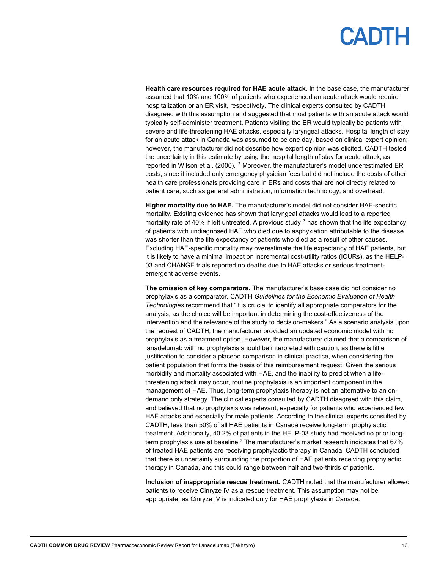**Health care resources required for HAE acute attack**. In the base case, the manufacturer assumed that 10% and 100% of patients who experienced an acute attack would require hospitalization or an ER visit, respectively. The clinical experts consulted by CADTH disagreed with this assumption and suggested that most patients with an acute attack would typically self-administer treatment. Patients visiting the ER would typically be patients with severe and life-threatening HAE attacks, especially laryngeal attacks. Hospital length of stay for an acute attack in Canada was assumed to be one day, based on clinical expert opinion; however, the manufacturer did not describe how expert opinion was elicited. CADTH tested the uncertainty in this estimate by using the hospital length of stay for acute attack, as reported in Wilson et al. (2000).<sup>12</sup> Moreover, the manufacturer's model underestimated ER costs, since it included only emergency physician fees but did not include the costs of other health care professionals providing care in ERs and costs that are not directly related to patient care, such as general administration, information technology, and overhead.

**Higher mortality due to HAE.** The manufacturer's model did not consider HAE-specific mortality. Existing evidence has shown that laryngeal attacks would lead to a reported mortality rate of 40% if left untreated. A previous study<sup>13</sup> has shown that the life expectancy of patients with undiagnosed HAE who died due to asphyxiation attributable to the disease was shorter than the life expectancy of patients who died as a result of other causes. Excluding HAE-specific mortality may overestimate the life expectancy of HAE patients, but it is likely to have a minimal impact on incremental cost-utility ratios (ICURs), as the HELP-03 and CHANGE trials reported no deaths due to HAE attacks or serious treatmentemergent adverse events.

**The omission of key comparators.** The manufacturer's base case did not consider no prophylaxis as a comparator. CADTH *Guidelines for the Economic Evaluation of Health Technologies* recommend that "it is crucial to identify all appropriate comparators for the analysis, as the choice will be important in determining the cost-effectiveness of the intervention and the relevance of the study to decision-makers." As a scenario analysis upon the request of CADTH, the manufacturer provided an updated economic model with no prophylaxis as a treatment option. However, the manufacturer claimed that a comparison of lanadelumab with no prophylaxis should be interpreted with caution, as there is little justification to consider a placebo comparison in clinical practice, when considering the patient population that forms the basis of this reimbursement request. Given the serious morbidity and mortality associated with HAE, and the inability to predict when a lifethreatening attack may occur, routine prophylaxis is an important component in the management of HAE. Thus, long-term prophylaxis therapy is not an alternative to an ondemand only strategy. The clinical experts consulted by CADTH disagreed with this claim, and believed that no prophylaxis was relevant, especially for patients who experienced few HAE attacks and especially for male patients. According to the clinical experts consulted by CADTH, less than 50% of all HAE patients in Canada receive long-term prophylactic treatment. Additionally, 40.2% of patients in the HELP-03 study had received no prior longterm prophylaxis use at baseline.<sup>3</sup> The manufacturer's market research indicates that 67% of treated HAE patients are receiving prophylactic therapy in Canada. CADTH concluded that there is uncertainty surrounding the proportion of HAE patients receiving prophylactic therapy in Canada, and this could range between half and two-thirds of patients.

**Inclusion of inappropriate rescue treatment.** CADTH noted that the manufacturer allowed patients to receive Cinryze IV as a rescue treatment. This assumption may not be appropriate, as Cinryze IV is indicated only for HAE prophylaxis in Canada.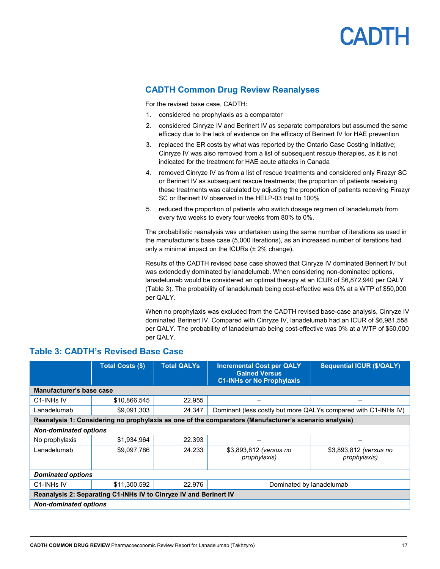#### <span id="page-16-0"></span>**CADTH Common Drug Review Reanalyses**

For the revised base case, CADTH:

- 1. considered no prophylaxis as a comparator
- 2. considered Cinryze IV and Berinert IV as separate comparators but assumed the same efficacy due to the lack of evidence on the efficacy of Berinert IV for HAE prevention
- 3. replaced the ER costs by what was reported by the Ontario Case Costing Initiative; Cinryze IV was also removed from a list of subsequent rescue therapies, as it is not indicated for the treatment for HAE acute attacks in Canada
- 4. removed Cinryze IV as from a list of rescue treatments and considered only Firazyr SC or Berinert IV as subsequent rescue treatments; the proportion of patients receiving these treatments was calculated by adjusting the proportion of patients receiving Firazyr SC or Berinert IV observed in the HELP-03 trial to 100%
- 5. reduced the proportion of patients who switch dosage regimen of lanadelumab from every two weeks to every four weeks from 80% to 0%.

The probabilistic reanalysis was undertaken using the same number of iterations as used in the manufacturer's base case (5,000 iterations), as an increased number of iterations had only a minimal impact on the ICURs (± 2% change).

Results of the CADTH revised base case showed that Cinryze IV dominated Berinert IV but was extendedly dominated by lanadelumab. When considering non-dominated options, lanadelumab would be considered an optimal therapy at an ICUR of \$6,872,940 per QALY (Table 3). The probability of lanadelumab being cost-effective was 0% at a WTP of \$50,000 per QALY.

When no prophylaxis was excluded from the CADTH revised base-case analysis, Cinryze IV dominated Berinert IV. Compared with Cinryze IV, lanadelumab had an ICUR of \$6,981,558 per QALY. The probability of lanadelumab being cost-effective was 0% at a WTP of \$50,000 per QALY.

#### <span id="page-16-1"></span>**Table 3: CADTH's Revised Base Case**

|                                                                   | <b>Total Costs (\$)</b>                            | <b>Total QALYs</b> | <b>Incremental Cost per QALY</b><br><b>Gained Versus</b><br><b>C1-INHs or No Prophylaxis</b>          | <b>Sequential ICUR (\$/QALY)</b>       |  |
|-------------------------------------------------------------------|----------------------------------------------------|--------------------|-------------------------------------------------------------------------------------------------------|----------------------------------------|--|
| Manufacturer's base case                                          |                                                    |                    |                                                                                                       |                                        |  |
| C <sub>1</sub> -INH <sub>s</sub> IV                               | \$10,866,545                                       | 22.955             |                                                                                                       |                                        |  |
| Lanadelumab                                                       | \$9,091,303                                        | 24.347             | Dominant (less costly but more QALYs compared with C1-INHs IV)                                        |                                        |  |
|                                                                   |                                                    |                    | Reanalysis 1: Considering no prophylaxis as one of the comparators (Manufacturer's scenario analysis) |                                        |  |
| <b>Non-dominated options</b>                                      |                                                    |                    |                                                                                                       |                                        |  |
| No prophylaxis                                                    | \$1,934,964                                        | 22.393             |                                                                                                       |                                        |  |
| Lanadelumab                                                       | \$9,097,786                                        | 24.233             | \$3,893,812 (versus no<br>prophylaxis)                                                                | \$3,893,812 (versus no<br>prophylaxis) |  |
| <b>Dominated options</b>                                          |                                                    |                    |                                                                                                       |                                        |  |
| C1-INHs IV                                                        | \$11,300,592<br>22.976<br>Dominated by lanadelumab |                    |                                                                                                       |                                        |  |
| Reanalysis 2: Separating C1-INHs IV to Cinryze IV and Berinert IV |                                                    |                    |                                                                                                       |                                        |  |
| <b>Non-dominated options</b>                                      |                                                    |                    |                                                                                                       |                                        |  |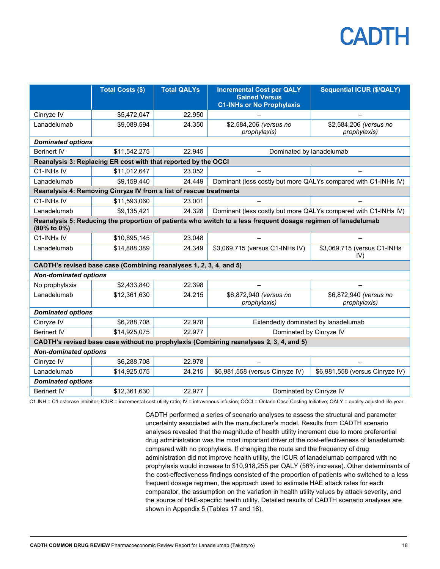|                                                                                                                              | <b>Total Costs (\$)</b>                                            | <b>Total QALYs</b> | <b>Incremental Cost per QALY</b><br><b>Gained Versus</b><br><b>C1-INHs or No Prophylaxis</b> | <b>Sequential ICUR (\$/QALY)</b>       |  |
|------------------------------------------------------------------------------------------------------------------------------|--------------------------------------------------------------------|--------------------|----------------------------------------------------------------------------------------------|----------------------------------------|--|
| Cinryze IV                                                                                                                   | \$5,472,047                                                        | 22.950             |                                                                                              |                                        |  |
| Lanadelumab                                                                                                                  | \$9,089,594                                                        | 24.350             | \$2,584,206 (versus no<br>prophylaxis)                                                       | \$2,584,206 (versus no<br>prophylaxis) |  |
| <b>Dominated options</b>                                                                                                     |                                                                    |                    |                                                                                              |                                        |  |
| <b>Berinert IV</b>                                                                                                           | \$11,542,275                                                       | 22.945             | Dominated by lanadelumab                                                                     |                                        |  |
|                                                                                                                              | Reanalysis 3: Replacing ER cost with that reported by the OCCI     |                    |                                                                                              |                                        |  |
| C1-INHs IV                                                                                                                   | \$11,012,647                                                       | 23.052             |                                                                                              |                                        |  |
| Lanadelumab                                                                                                                  | \$9,159,440                                                        | 24.449             | Dominant (less costly but more QALYs compared with C1-INHs IV)                               |                                        |  |
|                                                                                                                              | Reanalysis 4: Removing Cinryze IV from a list of rescue treatments |                    |                                                                                              |                                        |  |
| C1-INHs IV                                                                                                                   | \$11,593,060                                                       | 23.001             |                                                                                              |                                        |  |
| Lanadelumab                                                                                                                  | \$9,135,421                                                        | 24.328             | Dominant (less costly but more QALYs compared with C1-INHs IV)                               |                                        |  |
| Reanalysis 5: Reducing the proportion of patients who switch to a less frequent dosage regimen of lanadelumab<br>(80% to 0%) |                                                                    |                    |                                                                                              |                                        |  |
| C1-INHs IV                                                                                                                   | \$10,895,145                                                       | 23.048             |                                                                                              |                                        |  |
| Lanadelumab                                                                                                                  | \$14,888,389                                                       | 24.349             | \$3,069,715 (versus C1-INHs IV)                                                              | \$3,069,715 (versus C1-INHs<br>IV)     |  |
| CADTH's revised base case (Combining reanalyses 1, 2, 3, 4, and 5)                                                           |                                                                    |                    |                                                                                              |                                        |  |
| <b>Non-dominated options</b>                                                                                                 |                                                                    |                    |                                                                                              |                                        |  |
| No prophylaxis                                                                                                               | \$2,433,840                                                        | 22.398             |                                                                                              |                                        |  |
| Lanadelumab                                                                                                                  | \$12,361,630                                                       | 24.215             | \$6,872,940 (versus no<br>prophylaxis)                                                       | \$6,872,940 (versus no<br>prophylaxis) |  |
| <b>Dominated options</b>                                                                                                     |                                                                    |                    |                                                                                              |                                        |  |
| Cinryze IV                                                                                                                   | \$6,288,708                                                        | 22.978             | Extendedly dominated by lanadelumab                                                          |                                        |  |
| <b>Berinert IV</b>                                                                                                           | \$14,925,075                                                       | 22.977             | Dominated by Cinryze IV                                                                      |                                        |  |
| CADTH's revised base case without no prophylaxis (Combining reanalyses 2, 3, 4, and 5)                                       |                                                                    |                    |                                                                                              |                                        |  |
| <b>Non-dominated options</b>                                                                                                 |                                                                    |                    |                                                                                              |                                        |  |
| Cinryze IV                                                                                                                   | \$6,288,708                                                        | 22.978             |                                                                                              |                                        |  |
| Lanadelumab                                                                                                                  | \$14,925,075                                                       | 24.215             | \$6,981,558 (versus Cinryze IV)                                                              | \$6,981,558 (versus Cinryze IV)        |  |
| <b>Dominated options</b>                                                                                                     |                                                                    |                    |                                                                                              |                                        |  |
| <b>Berinert IV</b>                                                                                                           | \$12,361,630                                                       | 22.977             | Dominated by Cinryze IV                                                                      |                                        |  |

C1-INH = C1 esterase inhibitor; ICUR = incremental cost-utility ratio; IV = intravenous infusion; OCCI = Ontario Case Costing Initiative; QALY = quality-adjusted life-year.

CADTH performed a series of scenario analyses to assess the structural and parameter uncertainty associated with the manufacturer's model. Results from CADTH scenario analyses revealed that the magnitude of health utility increment due to more preferential drug administration was the most important driver of the cost-effectiveness of lanadelumab compared with no prophylaxis. If changing the route and the frequency of drug administration did not improve health utility, the ICUR of lanadelumab compared with no prophylaxis would increase to \$10,918,255 per QALY (56% increase). Other determinants of the cost-effectiveness findings consisted of the proportion of patients who switched to a less frequent dosage regimen, the approach used to estimate HAE attack rates for each comparator, the assumption on the variation in health utility values by attack severity, and the source of HAE-specific health utility. Detailed results of CADTH scenario analyses are shown in Appendix 5 (Tables 17 and 18).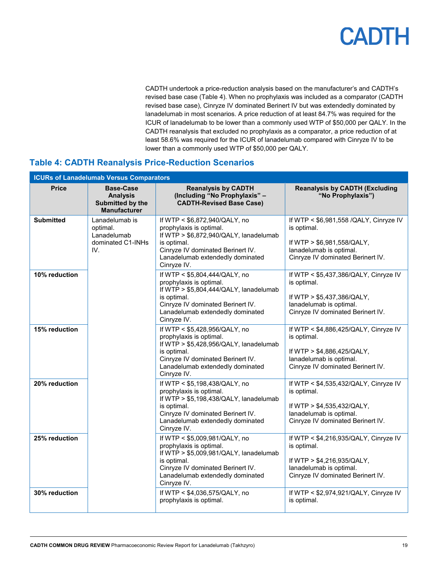CADTH undertook a price-reduction analysis based on the manufacturer's and CADTH's revised base case (Table 4). When no prophylaxis was included as a comparator (CADTH revised base case), Cinryze IV dominated Berinert IV but was extendedly dominated by lanadelumab in most scenarios. A price reduction of at least 84.7% was required for the ICUR of lanadelumab to be lower than a commonly used WTP of \$50,000 per QALY. In the CADTH reanalysis that excluded no prophylaxis as a comparator, a price reduction of at least 58.6% was required for the ICUR of lanadelumab compared with Cinryze IV to be lower than a commonly used WTP of \$50,000 per QALY.

#### <span id="page-18-0"></span>**Table 4: CADTH Reanalysis Price-Reduction Scenarios**

| <b>ICURs of Lanadelumab Versus Comparators</b> |                                                                                |                                                                                                                                                                                                           |                                                                                                                                                     |  |
|------------------------------------------------|--------------------------------------------------------------------------------|-----------------------------------------------------------------------------------------------------------------------------------------------------------------------------------------------------------|-----------------------------------------------------------------------------------------------------------------------------------------------------|--|
| <b>Price</b>                                   | <b>Base-Case</b><br><b>Analysis</b><br>Submitted by the<br><b>Manufacturer</b> | <b>Reanalysis by CADTH</b><br>(Including "No Prophylaxis" -<br><b>CADTH-Revised Base Case)</b>                                                                                                            | <b>Reanalysis by CADTH (Excluding</b><br>"No Prophylaxis")                                                                                          |  |
| <b>Submitted</b>                               | Lanadelumab is<br>optimal.<br>Lanadelumab<br>dominated C1-INHs<br>IV.          | If WTP < \$6,872,940/QALY, no<br>prophylaxis is optimal.<br>If WTP > \$6,872,940/QALY, lanadelumab<br>is optimal.<br>Cinryze IV dominated Berinert IV.<br>Lanadelumab extendedly dominated<br>Cinryze IV. | If WTP < \$6,981,558 /QALY, Cinryze IV<br>is optimal.<br>If WTP > \$6,981,558/QALY,<br>lanadelumab is optimal.<br>Cinryze IV dominated Berinert IV. |  |
| 10% reduction                                  |                                                                                | If WTP < \$5,804,444/QALY, no<br>prophylaxis is optimal.<br>If WTP > \$5,804,444/QALY, lanadelumab<br>is optimal.<br>Cinryze IV dominated Berinert IV.<br>Lanadelumab extendedly dominated<br>Cinryze IV. | If WTP < \$5,437,386/QALY, Cinryze IV<br>is optimal.<br>If WTP > \$5,437,386/QALY,<br>lanadelumab is optimal.<br>Cinryze IV dominated Berinert IV.  |  |
| 15% reduction                                  |                                                                                | If WTP < \$5,428,956/QALY, no<br>prophylaxis is optimal.<br>If WTP > \$5,428,956/QALY, lanadelumab<br>is optimal.<br>Cinryze IV dominated Berinert IV.<br>Lanadelumab extendedly dominated<br>Cinryze IV. | If WTP < \$4,886,425/QALY, Cinryze IV<br>is optimal.<br>If WTP > \$4,886,425/QALY,<br>lanadelumab is optimal.<br>Cinryze IV dominated Berinert IV.  |  |
| 20% reduction                                  |                                                                                | If WTP < \$5,198,438/QALY, no<br>prophylaxis is optimal.<br>If WTP > \$5,198,438/QALY, lanadelumab<br>is optimal.<br>Cinryze IV dominated Berinert IV.<br>Lanadelumab extendedly dominated<br>Cinryze IV. | If WTP < \$4,535,432/QALY, Cinryze IV<br>is optimal.<br>If WTP > \$4,535,432/QALY,<br>lanadelumab is optimal.<br>Cinryze IV dominated Berinert IV.  |  |
| 25% reduction                                  |                                                                                | If WTP < \$5,009,981/QALY, no<br>prophylaxis is optimal.<br>If WTP > \$5,009,981/QALY, lanadelumab<br>is optimal.<br>Cinryze IV dominated Berinert IV.<br>Lanadelumab extendedly dominated<br>Cinryze IV. | If WTP < \$4,216,935/QALY, Cinryze IV<br>is optimal.<br>If WTP > \$4,216,935/QALY,<br>lanadelumab is optimal.<br>Cinryze IV dominated Berinert IV.  |  |
| 30% reduction                                  |                                                                                | If WTP < \$4,036,575/QALY, no<br>prophylaxis is optimal.                                                                                                                                                  | If WTP < \$2,974,921/QALY, Cinryze IV<br>is optimal.                                                                                                |  |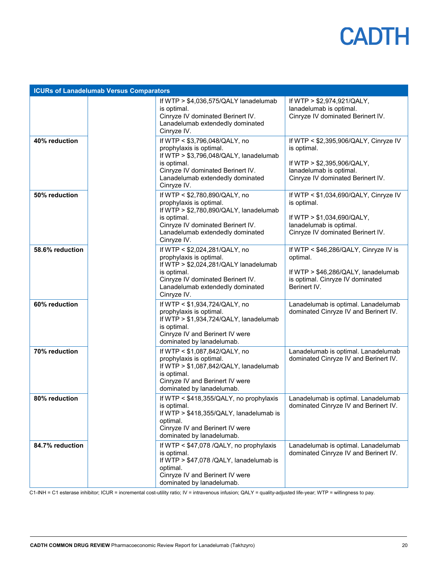| <b>ICURs of Lanadelumab Versus Comparators</b> |  |                                                                                                                                                                                                           |                                                                                                                                                      |  |
|------------------------------------------------|--|-----------------------------------------------------------------------------------------------------------------------------------------------------------------------------------------------------------|------------------------------------------------------------------------------------------------------------------------------------------------------|--|
|                                                |  | If WTP $>$ \$4,036,575/QALY lanadelumab<br>is optimal.<br>Cinryze IV dominated Berinert IV.<br>Lanadelumab extendedly dominated<br>Cinryze IV.                                                            | If WTP > \$2,974,921/QALY,<br>lanadelumab is optimal.<br>Cinryze IV dominated Berinert IV.                                                           |  |
| 40% reduction                                  |  | If WTP < \$3,796,048/QALY, no<br>prophylaxis is optimal.<br>If WTP > \$3,796,048/QALY, lanadelumab<br>is optimal.<br>Cinryze IV dominated Berinert IV.<br>Lanadelumab extendedly dominated<br>Cinryze IV. | If WTP < \$2,395,906/QALY, Cinryze IV<br>is optimal.<br>If WTP $>$ \$2,395,906/QALY,<br>lanadelumab is optimal.<br>Cinryze IV dominated Berinert IV. |  |
| 50% reduction                                  |  | If WTP < \$2,780,890/QALY, no<br>prophylaxis is optimal.<br>If WTP > \$2,780,890/QALY, lanadelumab<br>is optimal.<br>Cinryze IV dominated Berinert IV.<br>Lanadelumab extendedly dominated<br>Cinryze IV. | If WTP < \$1,034,690/QALY, Cinryze IV<br>is optimal.<br>If WTP > \$1,034,690/QALY,<br>lanadelumab is optimal.<br>Cinryze IV dominated Berinert IV.   |  |
| 58.6% reduction                                |  | If WTP < \$2,024,281/QALY, no<br>prophylaxis is optimal.<br>If WTP > \$2,024,281/QALY lanadelumab<br>is optimal.<br>Cinryze IV dominated Berinert IV.<br>Lanadelumab extendedly dominated<br>Cinryze IV.  | If WTP < \$46,286/QALY, Cinryze IV is<br>optimal.<br>If WTP > \$46,286/QALY, lanadelumab<br>is optimal. Cinryze IV dominated<br>Berinert IV.         |  |
| 60% reduction                                  |  | If WTP < \$1,934,724/QALY, no<br>prophylaxis is optimal.<br>If WTP > \$1,934,724/QALY, lanadelumab<br>is optimal.<br>Cinryze IV and Berinert IV were<br>dominated by lanadelumab.                         | Lanadelumab is optimal. Lanadelumab<br>dominated Cinryze IV and Berinert IV.                                                                         |  |
| 70% reduction                                  |  | If WTP < \$1,087,842/QALY, no<br>prophylaxis is optimal.<br>If $WTP > $1,087,842/QALY$ , lanadelumab<br>is optimal.<br>Cinryze IV and Berinert IV were<br>dominated by lanadelumab.                       | Lanadelumab is optimal. Lanadelumab<br>dominated Cinryze IV and Berinert IV.                                                                         |  |
| 80% reduction                                  |  | If WTP $<$ \$418,355/QALY, no prophylaxis<br>is optimal.<br>If $WTP > $418,355/QALY$ , lanadelumab is<br>optimal.<br>Cinryze IV and Berinert IV were<br>dominated by lanadelumab.                         | Lanadelumab is optimal. Lanadelumab<br>dominated Cinryze IV and Berinert IV.                                                                         |  |
| 84.7% reduction                                |  | If WTP < \$47,078 /QALY, no prophylaxis<br>is optimal.<br>If WTP > \$47,078 /QALY, lanadelumab is<br>optimal.<br>Cinryze IV and Berinert IV were<br>dominated by lanadelumab.                             | Lanadelumab is optimal. Lanadelumab<br>dominated Cinryze IV and Berinert IV.                                                                         |  |

C1-INH = C1 esterase inhibitor; ICUR = incremental cost-utility ratio; IV = intravenous infusion; QALY = quality-adjusted life-year; WTP = willingness to pay.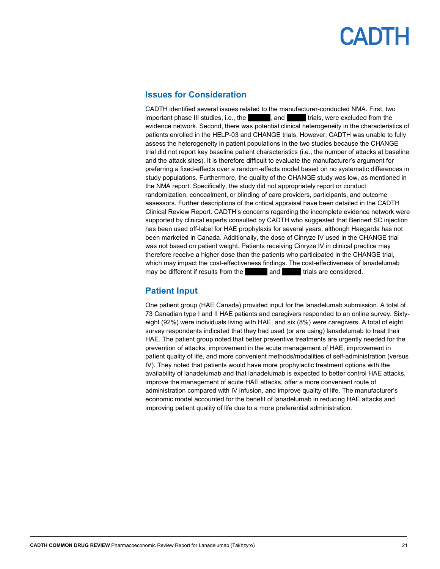#### <span id="page-20-0"></span>**Issues for Consideration**

CADTH identified several issues related to the manufacturer-conducted NMA. First, two important phase III studies, i.e., the value of value via value variations were excluded from the evidence network. Second, there was potential clinical heterogeneity in the characteristics of patients enrolled in the HELP-03 and CHANGE trials. However, CADTH was unable to fully assess the heterogeneity in patient populations in the two studies because the CHANGE trial did not report key baseline patient characteristics (i.e., the number of attacks at baseline and the attack sites). It is therefore difficult to evaluate the manufacturer's argument for preferring a fixed-effects over a random-effects model based on no systematic differences in study populations. Furthermore, the quality of the CHANGE study was low, as mentioned in the NMA report. Specifically, the study did not appropriately report or conduct randomization, concealment, or blinding of care providers, participants, and outcome assessors. Further descriptions of the critical appraisal have been detailed in the CADTH Clinical Review Report. CADTH's concerns regarding the incomplete evidence network were supported by clinical experts consulted by CADTH who suggested that Berinert SC injection has been used off-label for HAE prophylaxis for several years, although Haegarda has not been marketed in Canada. Additionally, the dose of Cinryze IV used in the CHANGE trial was not based on patient weight. Patients receiving Cinryze IV in clinical practice may therefore receive a higher dose than the patients who participated in the CHANGE trial, which may impact the cost-effectiveness findings. The cost-effectiveness of lanadelumab may be different if results from the vand vand varials are considered.

#### <span id="page-20-1"></span>**Patient Input**

One patient group (HAE Canada) provided input for the lanadelumab submission. A total of 73 Canadian type I and II HAE patients and caregivers responded to an online survey. Sixtyeight (92%) were individuals living with HAE, and six (8%) were caregivers. A total of eight survey respondents indicated that they had used (or are using) lanadelumab to treat their HAE. The patient group noted that better preventive treatments are urgently needed for the prevention of attacks, improvement in the acute management of HAE, improvement in patient quality of life, and more convenient methods/modalities of self-administration (versus IV). They noted that patients would have more prophylactic treatment options with the availability of lanadelumab and that lanadelumab is expected to better control HAE attacks, improve the management of acute HAE attacks, offer a more convenient route of administration compared with IV infusion, and improve quality of life. The manufacturer's economic model accounted for the benefit of lanadelumab in reducing HAE attacks and improving patient quality of life due to a more preferential administration.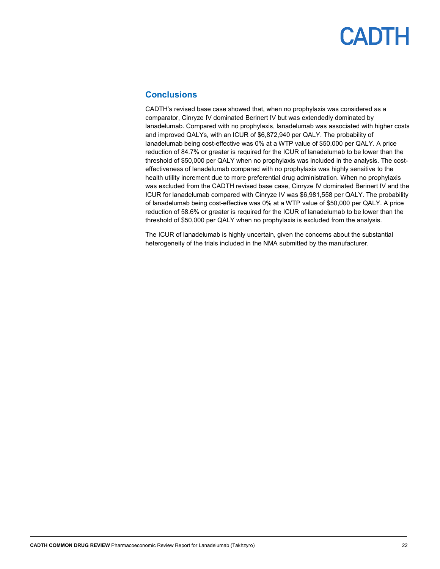#### <span id="page-21-0"></span>**Conclusions**

CADTH's revised base case showed that, when no prophylaxis was considered as a comparator, Cinryze IV dominated Berinert IV but was extendedly dominated by lanadelumab. Compared with no prophylaxis, lanadelumab was associated with higher costs and improved QALYs, with an ICUR of \$6,872,940 per QALY. The probability of lanadelumab being cost-effective was 0% at a WTP value of \$50,000 per QALY. A price reduction of 84.7% or greater is required for the ICUR of lanadelumab to be lower than the threshold of \$50,000 per QALY when no prophylaxis was included in the analysis. The costeffectiveness of lanadelumab compared with no prophylaxis was highly sensitive to the health utility increment due to more preferential drug administration. When no prophylaxis was excluded from the CADTH revised base case, Cinryze IV dominated Berinert IV and the ICUR for lanadelumab compared with Cinryze IV was \$6,981,558 per QALY. The probability of lanadelumab being cost-effective was 0% at a WTP value of \$50,000 per QALY. A price reduction of 58.6% or greater is required for the ICUR of lanadelumab to be lower than the threshold of \$50,000 per QALY when no prophylaxis is excluded from the analysis.

The ICUR of lanadelumab is highly uncertain, given the concerns about the substantial heterogeneity of the trials included in the NMA submitted by the manufacturer.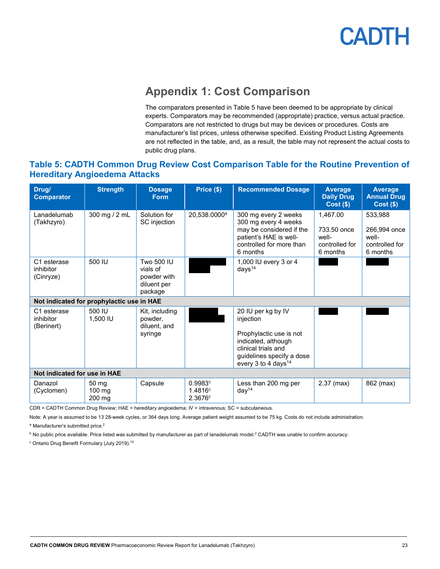

### **Appendix 1: Cost Comparison**

The comparators presented in Table 5 have been deemed to be appropriate by clinical experts. Comparators may be recommended (appropriate) practice, versus actual practice. Comparators are not restricted to drugs but may be devices or procedures. Costs are manufacturer's list prices, unless otherwise specified. Existing Product Listing Agreements are not reflected in the table, and, as a result, the table may not represent the actual costs to public drug plans.

#### <span id="page-22-1"></span><span id="page-22-0"></span>**Table 5: CADTH Common Drug Review Cost Comparison Table for the Routine Prevention of Hereditary Angioedema Attacks**

| Drug/<br><b>Comparator</b>                | <b>Strength</b>           | <b>Dosage</b><br><b>Form</b>                                    | Price (\$)                    | <b>Recommended Dosage</b>                                                                                                                                                | <b>Average</b><br><b>Daily Drug</b><br>$Cost($ \$)             | <b>Average</b><br><b>Annual Drug</b><br>$Cost($ \$)            |
|-------------------------------------------|---------------------------|-----------------------------------------------------------------|-------------------------------|--------------------------------------------------------------------------------------------------------------------------------------------------------------------------|----------------------------------------------------------------|----------------------------------------------------------------|
| I anadelumab<br>(Takhzyro)                | 300 mg / 2 mL             | Solution for<br>SC injection                                    | 20,538.0000 <sup>a</sup>      | 300 mg every 2 weeks<br>300 mg every 4 weeks<br>may be considered if the<br>patient's HAE is well-<br>controlled for more than<br>6 months                               | 1,467.00<br>733.50 once<br>well-<br>controlled for<br>6 months | 533,988<br>266,994 once<br>well-<br>controlled for<br>6 months |
| C1 esterase<br>inhibitor<br>(Cinryze)     | 500 IU                    | Two 500 IU<br>vials of<br>powder with<br>diluent per<br>package |                               | 1,000 IU every 3 or 4<br>days <sup>14</sup>                                                                                                                              |                                                                |                                                                |
| Not indicated for prophylactic use in HAE |                           |                                                                 |                               |                                                                                                                                                                          |                                                                |                                                                |
| C1 esterase<br>inhibitor<br>(Berinert)    | 500 IU<br>1.500 IU        | Kit, including<br>powder.<br>diluent, and<br>syringe            |                               | 20 IU per kg by IV<br>injection<br>Prophylactic use is not<br>indicated, although<br>clinical trials and<br>guidelines specify a dose<br>every 3 to 4 days <sup>14</sup> |                                                                |                                                                |
| Not indicated for use in HAE              |                           |                                                                 |                               |                                                                                                                                                                          |                                                                |                                                                |
| Danazol<br>(Cyclomen)                     | 50 mg<br>100 mg<br>200 mg | Capsule                                                         | 0.9983c<br>1.4816c<br>2.3676c | Less than 200 mg per<br>day <sup>14</sup>                                                                                                                                | $2.37$ (max)                                                   | 862 (max)                                                      |

CDR = CADTH Common Drug Review; HAE = hereditary angioedema; IV = intravenous; SC = subcutaneous.

Note: A year is assumed to be 13 28-week cycles, or 364 days long. Average patient weight assumed to be 75 kg. Costs do not include administration.

<sup>a</sup> Manufacturer's submitted price.<sup>2</sup>

 $^{\rm b}$  No public price available. Price listed was submitted by manufacturer as part of lanadelumab model. $^2$  CADTH was unable to confirm accuracy.

<sup>c</sup> Ontario Drug Benefit Formulary (July 2019).<sup>15</sup>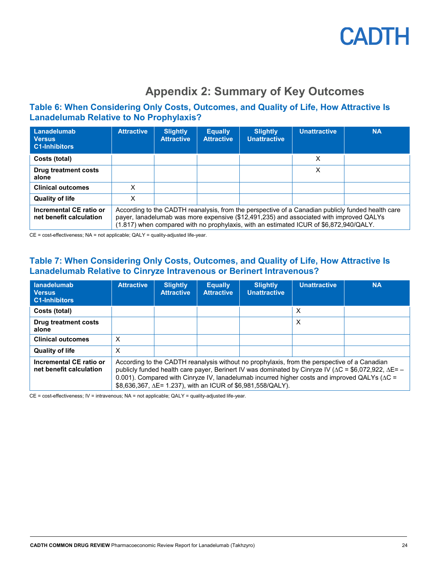

### **Appendix 2: Summary of Key Outcomes**

#### <span id="page-23-1"></span><span id="page-23-0"></span>**Table 6: When Considering Only Costs, Outcomes, and Quality of Life, How Attractive Is Lanadelumab Relative to No Prophylaxis?**

| Lanadelumab<br><b>Versus</b><br><b>C1-Inhibitors</b> | <b>Attractive</b> | <b>Slightly</b><br><b>Attractive</b>                                                                                                                                                                                                                                                   | <b>Equally</b><br><b>Attractive</b> | <b>Slightly</b><br><b>Unattractive</b> | <b>Unattractive</b> | <b>NA</b> |
|------------------------------------------------------|-------------------|----------------------------------------------------------------------------------------------------------------------------------------------------------------------------------------------------------------------------------------------------------------------------------------|-------------------------------------|----------------------------------------|---------------------|-----------|
| Costs (total)                                        |                   |                                                                                                                                                                                                                                                                                        |                                     |                                        | X                   |           |
| Drug treatment costs<br>alone                        |                   |                                                                                                                                                                                                                                                                                        |                                     |                                        | X                   |           |
| <b>Clinical outcomes</b>                             | x                 |                                                                                                                                                                                                                                                                                        |                                     |                                        |                     |           |
| <b>Quality of life</b>                               | X                 |                                                                                                                                                                                                                                                                                        |                                     |                                        |                     |           |
| Incremental CE ratio or<br>net benefit calculation   |                   | According to the CADTH reanalysis, from the perspective of a Canadian publicly funded health care<br>payer, lanadelumab was more expensive (\$12,491,235) and associated with improved QALYs<br>(1.817) when compared with no prophylaxis, with an estimated ICUR of \$6,872,940/QALY. |                                     |                                        |                     |           |

<span id="page-23-2"></span>CE = cost-effectiveness; NA = not applicable; QALY = quality-adjusted life-year.

#### **Table 7: When Considering Only Costs, Outcomes, and Quality of Life, How Attractive Is Lanadelumab Relative to Cinryze Intravenous or Berinert Intravenous?**

| lanadelumab<br><b>Versus</b><br><b>C1-Inhibitors</b> | <b>Attractive</b> | <b>Slightly</b><br><b>Attractive</b>                                                                                                                                                                                                                                                                                                                                                          | <b>Equally</b><br><b>Attractive</b> | <b>Slightly</b><br><b>Unattractive</b> | <b>Unattractive</b> | <b>NA</b> |
|------------------------------------------------------|-------------------|-----------------------------------------------------------------------------------------------------------------------------------------------------------------------------------------------------------------------------------------------------------------------------------------------------------------------------------------------------------------------------------------------|-------------------------------------|----------------------------------------|---------------------|-----------|
| Costs (total)                                        |                   |                                                                                                                                                                                                                                                                                                                                                                                               |                                     |                                        | X                   |           |
| <b>Drug treatment costs</b><br>alone                 |                   |                                                                                                                                                                                                                                                                                                                                                                                               |                                     |                                        | X                   |           |
| <b>Clinical outcomes</b>                             | X                 |                                                                                                                                                                                                                                                                                                                                                                                               |                                     |                                        |                     |           |
| <b>Quality of life</b>                               | X                 |                                                                                                                                                                                                                                                                                                                                                                                               |                                     |                                        |                     |           |
| Incremental CE ratio or<br>net benefit calculation   |                   | According to the CADTH reanalysis without no prophylaxis, from the perspective of a Canadian<br>publicly funded health care payer, Berinert IV was dominated by Cinryze IV ( $\Delta C = $6,072,922$ , $\Delta E = -$<br>0.001). Compared with Cinryze IV, lanadelumab incurred higher costs and improved QALYs ( $\Delta C$ =<br>\$8,636,367, ∆E= 1.237), with an ICUR of \$6,981,558/QALY). |                                     |                                        |                     |           |

CE = cost-effectiveness; IV = intravenous; NA = not applicable; QALY = quality-adjusted life-year.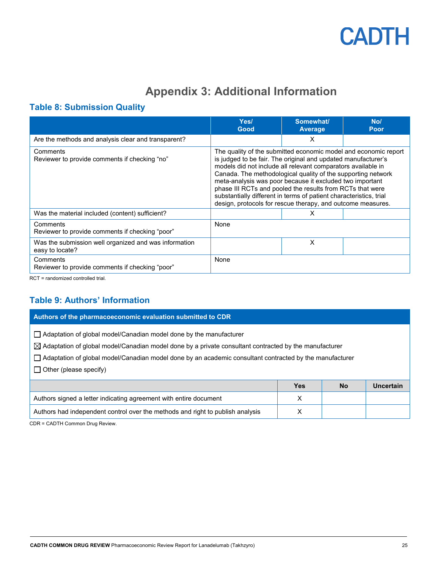

### **Appendix 3: Additional Information**

#### <span id="page-24-1"></span><span id="page-24-0"></span>**Table 8: Submission Quality**

|                                                                          | Yes/<br>Good                                                                                                                                                                                                                                                                                                                                                                                                                                                                                                                   | Somewhat/<br><b>Average</b> | No/<br>Poor |  |
|--------------------------------------------------------------------------|--------------------------------------------------------------------------------------------------------------------------------------------------------------------------------------------------------------------------------------------------------------------------------------------------------------------------------------------------------------------------------------------------------------------------------------------------------------------------------------------------------------------------------|-----------------------------|-------------|--|
| Are the methods and analysis clear and transparent?                      |                                                                                                                                                                                                                                                                                                                                                                                                                                                                                                                                | X                           |             |  |
| Comments<br>Reviewer to provide comments if checking "no"                | The quality of the submitted economic model and economic report<br>is judged to be fair. The original and updated manufacturer's<br>models did not include all relevant comparators available in<br>Canada. The methodological quality of the supporting network<br>meta-analysis was poor because it excluded two important<br>phase III RCTs and pooled the results from RCTs that were<br>substantially different in terms of patient characteristics, trial<br>design, protocols for rescue therapy, and outcome measures. |                             |             |  |
| Was the material included (content) sufficient?                          |                                                                                                                                                                                                                                                                                                                                                                                                                                                                                                                                | X                           |             |  |
| Comments<br>Reviewer to provide comments if checking "poor"              | None                                                                                                                                                                                                                                                                                                                                                                                                                                                                                                                           |                             |             |  |
| Was the submission well organized and was information<br>easy to locate? |                                                                                                                                                                                                                                                                                                                                                                                                                                                                                                                                | X                           |             |  |
| Comments<br>Reviewer to provide comments if checking "poor"              | None                                                                                                                                                                                                                                                                                                                                                                                                                                                                                                                           |                             |             |  |

<span id="page-24-2"></span>RCT = randomized controlled trial.

#### **Table 9: Authors' Information**

| Authors of the pharmacoeconomic evaluation submitted to CDR                                                                                                                                                                                                                                                                                       |            |           |                  |  |  |
|---------------------------------------------------------------------------------------------------------------------------------------------------------------------------------------------------------------------------------------------------------------------------------------------------------------------------------------------------|------------|-----------|------------------|--|--|
| $\Box$ Adaptation of global model/Canadian model done by the manufacturer<br>$\boxtimes$ Adaptation of global model/Canadian model done by a private consultant contracted by the manufacturer<br>$\Box$ Adaptation of global model/Canadian model done by an academic consultant contracted by the manufacturer<br>$\Box$ Other (please specify) |            |           |                  |  |  |
|                                                                                                                                                                                                                                                                                                                                                   | <b>Yes</b> | <b>No</b> | <b>Uncertain</b> |  |  |
| X<br>Authors signed a letter indicating agreement with entire document                                                                                                                                                                                                                                                                            |            |           |                  |  |  |
| Authors had independent control over the methods and right to publish analysis                                                                                                                                                                                                                                                                    | x          |           |                  |  |  |

CDR = CADTH Common Drug Review.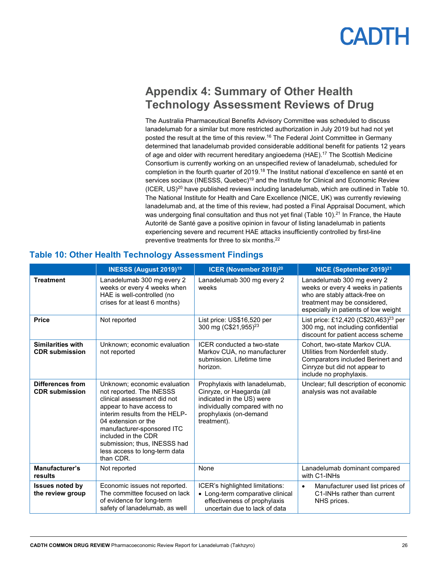### <span id="page-25-0"></span>**Appendix 4: Summary of Other Health Technology Assessment Reviews of Drug**

The Australia Pharmaceutical Benefits Advisory Committee was scheduled to discuss lanadelumab for a similar but more restricted authorization in July 2019 but had not yet posted the result at the time of this review.<sup>16</sup> The Federal Joint Committee in Germany determined that lanadelumab provided considerable additional benefit for patients 12 years of age and older with recurrent hereditary angioedema (HAE). <sup>17</sup> The Scottish Medicine Consortium is currently working on an unspecified review of lanadelumab, scheduled for completion in the fourth quarter of 2019.<sup>18</sup> The Institut national d'excellence en santé et en services sociaux (INESSS, Quebec)<sup>19</sup> and the Institute for Clinical and Economic Review (ICER, US)<sup>20</sup> have published reviews including lanadelumab, which are outlined i[n Table 10.](#page-25-1) The National Institute for Health and Care Excellence (NICE, UK) was currently reviewing lanadelumab and, at the time of this review, had posted a Final Appraisal Document, which was undergoing final consultation and thus not yet final [\(Table 10\)](#page-25-1).<sup>21</sup> In France, the Haute Autorité de Santé gave a positive opinion in favour of listing lanadelumab in patients experiencing severe and recurrent HAE attacks insufficiently controlled by first-line preventive treatments for three to six months.22

|                                                   | <b>INESSS (August 2019)<sup>19</sup></b>                                                                                                                                                                                                                                                                        | ICER (November 2018) <sup>20</sup>                                                                                                                                | NICE (September 2019) <sup>21</sup>                                                                                                                                       |
|---------------------------------------------------|-----------------------------------------------------------------------------------------------------------------------------------------------------------------------------------------------------------------------------------------------------------------------------------------------------------------|-------------------------------------------------------------------------------------------------------------------------------------------------------------------|---------------------------------------------------------------------------------------------------------------------------------------------------------------------------|
| <b>Treatment</b>                                  | Lanadelumab 300 mg every 2<br>weeks or every 4 weeks when<br>HAE is well-controlled (no<br>crises for at least 6 months)                                                                                                                                                                                        | Lanadelumab 300 mg every 2<br>weeks                                                                                                                               | Lanadelumab 300 mg every 2<br>weeks or every 4 weeks in patients<br>who are stably attack-free on<br>treatment may be considered,<br>especially in patients of low weight |
| <b>Price</b>                                      | Not reported                                                                                                                                                                                                                                                                                                    | List price: US\$16,520 per<br>300 mg (C\$21,955) <sup>23</sup>                                                                                                    | List price: £12,420 (C\$20,463) <sup>23</sup> per<br>300 mg, not including confidential<br>discount for patient access scheme                                             |
| <b>Similarities with</b><br><b>CDR</b> submission | Unknown; economic evaluation<br>not reported                                                                                                                                                                                                                                                                    | ICER conducted a two-state<br>Markov CUA, no manufacturer<br>submission. Lifetime time<br>horizon.                                                                | Cohort, two-state Markov CUA.<br>Utilities from Nordenfelt study.<br>Comparators included Berinert and<br>Cinryze but did not appear to<br>include no prophylaxis.        |
| <b>Differences from</b><br><b>CDR</b> submission  | Unknown; economic evaluation<br>not reported. The INESSS<br>clinical assessment did not<br>appear to have access to<br>interim results from the HELP-<br>04 extension or the<br>manufacturer-sponsored ITC<br>included in the CDR<br>submission; thus, INESSS had<br>less access to long-term data<br>than CDR. | Prophylaxis with lanadelumab,<br>Cinryze, or Haegarda (all<br>indicated in the US) were<br>individually compared with no<br>prophylaxis (on-demand<br>treatment). | Unclear; full description of economic<br>analysis was not available                                                                                                       |
| Manufacturer's<br>results                         | Not reported                                                                                                                                                                                                                                                                                                    | None                                                                                                                                                              | Lanadelumab dominant compared<br>with C1-INHs                                                                                                                             |
| <b>Issues noted by</b><br>the review group        | Economic issues not reported.<br>The committee focused on lack<br>of evidence for long-term<br>safety of lanadelumab, as well                                                                                                                                                                                   | ICER's highlighted limitations:<br>• Long-term comparative clinical<br>effectiveness of prophylaxis<br>uncertain due to lack of data                              | Manufacturer used list prices of<br>$\bullet$<br>C1-INHs rather than current<br>NHS prices.                                                                               |

#### <span id="page-25-1"></span>**Table 10: Other Health Technology Assessment Findings**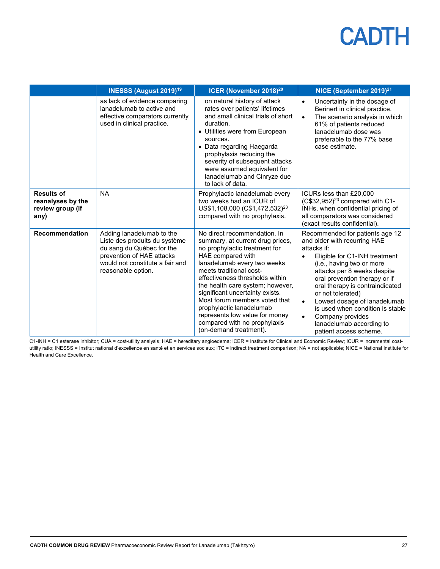|                                                                    | <b>INESSS (August 2019)<sup>19</sup></b>                                                                                                                                      | ICER (November 2018) <sup>20</sup>                                                                                                                                                                                                                                                                                                                                                                                                                  | NICE (September 2019) <sup>21</sup>                                                                                                                                                                                                                                                                                                                                                                                                                       |
|--------------------------------------------------------------------|-------------------------------------------------------------------------------------------------------------------------------------------------------------------------------|-----------------------------------------------------------------------------------------------------------------------------------------------------------------------------------------------------------------------------------------------------------------------------------------------------------------------------------------------------------------------------------------------------------------------------------------------------|-----------------------------------------------------------------------------------------------------------------------------------------------------------------------------------------------------------------------------------------------------------------------------------------------------------------------------------------------------------------------------------------------------------------------------------------------------------|
|                                                                    | as lack of evidence comparing<br>lanadelumab to active and<br>effective comparators currently<br>used in clinical practice.                                                   | on natural history of attack<br>rates over patients' lifetimes<br>and small clinical trials of short<br>duration.<br>• Utilities were from European<br>sources.<br>• Data regarding Haegarda<br>prophylaxis reducing the<br>severity of subsequent attacks<br>were assumed equivalent for<br>lanadelumab and Cinryze due<br>to lack of data.                                                                                                        | Uncertainty in the dosage of<br>$\bullet$<br>Berinert in clinical practice.<br>The scenario analysis in which<br>$\bullet$<br>61% of patients reduced<br>lanadelumab dose was<br>preferable to the 77% base<br>case estimate.                                                                                                                                                                                                                             |
| <b>Results of</b><br>reanalyses by the<br>review group (if<br>any) | <b>NA</b>                                                                                                                                                                     | Prophylactic lanadelumab every<br>two weeks had an ICUR of<br>US\$1,108,000 (C\$1,472,532) <sup>23</sup><br>compared with no prophylaxis.                                                                                                                                                                                                                                                                                                           | ICURs less than £20,000<br>$(C$32,952)23$ compared with C1-<br>INHs, when confidential pricing of<br>all comparators was considered<br>(exact results confidential).                                                                                                                                                                                                                                                                                      |
| <b>Recommendation</b>                                              | Adding lanadelumab to the<br>Liste des produits du système<br>du sang du Québec for the<br>prevention of HAE attacks<br>would not constitute a fair and<br>reasonable option. | No direct recommendation. In<br>summary, at current drug prices,<br>no prophylactic treatment for<br>HAE compared with<br>lanadelumab every two weeks<br>meets traditional cost-<br>effectiveness thresholds within<br>the health care system; however,<br>significant uncertainty exists.<br>Most forum members voted that<br>prophylactic lanadelumab<br>represents low value for money<br>compared with no prophylaxis<br>(on-demand treatment). | Recommended for patients age 12<br>and older with recurring HAE<br>attacks if:<br>Eligible for C1-INH treatment<br>$\bullet$<br>(i.e., having two or more<br>attacks per 8 weeks despite<br>oral prevention therapy or if<br>oral therapy is contraindicated<br>or not tolerated)<br>Lowest dosage of lanadelumab<br>$\bullet$<br>is used when condition is stable<br>Company provides<br>$\bullet$<br>lanadelumab according to<br>patient access scheme. |

C1-INH = C1 esterase inhibitor; CUA = cost-utility analysis; HAE = hereditary angioedema; ICER = Institute for Clinical and Economic Review; ICUR = incremental costutility ratio; INESSS = Institut national d'excellence en santé et en services sociaux; ITC = indirect treatment comparison; NA = not applicable; NICE = National Institute for Health and Care Excellence.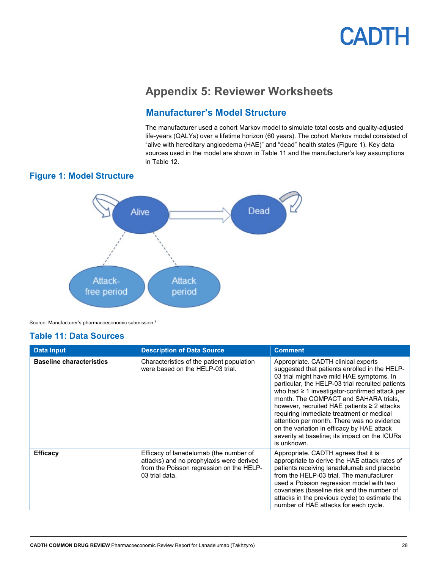### **Appendix 5: Reviewer Worksheets**

#### **Manufacturer's Model Structure**

The manufacturer used a cohort Markov model to simulate total costs and quality-adjusted life-years (QALYs) over a lifetime horizon (60 years). The cohort Markov model consisted of "alive with hereditary angioedema (HAE)" and "dead" health states (Figure 1). Key data sources used in the model are shown in Table 11 and the manufacturer's key assumptions in [Table 12.](#page-30-0)

#### <span id="page-27-2"></span><span id="page-27-0"></span>**Figure 1: Model Structure**



Source: Manufacturer's pharmacoeconomic submission. 2

#### <span id="page-27-1"></span>**Table 11: Data Sources**

| <b>Data Input</b>               | <b>Description of Data Source</b>                                                                                                                | <b>Comment</b>                                                                                                                                                                                                                                                                                                                                                                                                                                                                                                                                   |
|---------------------------------|--------------------------------------------------------------------------------------------------------------------------------------------------|--------------------------------------------------------------------------------------------------------------------------------------------------------------------------------------------------------------------------------------------------------------------------------------------------------------------------------------------------------------------------------------------------------------------------------------------------------------------------------------------------------------------------------------------------|
| <b>Baseline characteristics</b> | Characteristics of the patient population<br>were based on the HELP-03 trial.                                                                    | Appropriate. CADTH clinical experts<br>suggested that patients enrolled in the HELP-<br>03 trial might have mild HAE symptoms. In<br>particular, the HELP-03 trial recruited patients<br>who had $\geq 1$ investigator-confirmed attack per<br>month. The COMPACT and SAHARA trials,<br>however, recruited HAE patients $\geq 2$ attacks<br>requiring immediate treatment or medical<br>attention per month. There was no evidence<br>on the variation in efficacy by HAE attack<br>severity at baseline; its impact on the ICURs<br>is unknown. |
| <b>Efficacy</b>                 | Efficacy of lanadelumab (the number of<br>attacks) and no prophylaxis were derived<br>from the Poisson regression on the HELP-<br>03 trial data. | Appropriate. CADTH agrees that it is<br>appropriate to derive the HAE attack rates of<br>patients receiving lanadelumab and placebo<br>from the HELP-03 trial. The manufacturer<br>used a Poisson regression model with two<br>covariates (baseline risk and the number of<br>attacks in the previous cycle) to estimate the<br>number of HAE attacks for each cycle.                                                                                                                                                                            |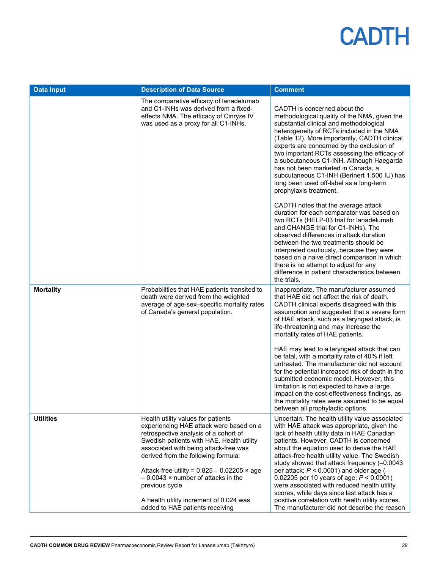| <b>Data Input</b> | <b>Description of Data Source</b>                                                                                                                                                                                                                                                                                                                                                                                                                      | <b>Comment</b>                                                                                                                                                                                                                                                                                                                                                                                                                                                                                                                                                                                                                                                                                                                                                                                                                                                                                                       |
|-------------------|--------------------------------------------------------------------------------------------------------------------------------------------------------------------------------------------------------------------------------------------------------------------------------------------------------------------------------------------------------------------------------------------------------------------------------------------------------|----------------------------------------------------------------------------------------------------------------------------------------------------------------------------------------------------------------------------------------------------------------------------------------------------------------------------------------------------------------------------------------------------------------------------------------------------------------------------------------------------------------------------------------------------------------------------------------------------------------------------------------------------------------------------------------------------------------------------------------------------------------------------------------------------------------------------------------------------------------------------------------------------------------------|
|                   | The comparative efficacy of lanadelumab<br>and C1-INHs was derived from a fixed-<br>effects NMA. The efficacy of Cinryze IV<br>was used as a proxy for all C1-INHs.                                                                                                                                                                                                                                                                                    | CADTH is concerned about the<br>methodological quality of the NMA, given the<br>substantial clinical and methodological<br>heterogeneity of RCTs included in the NMA<br>(Table 12). More importantly, CADTH clinical<br>experts are concerned by the exclusion of<br>two important RCTs assessing the efficacy of<br>a subcutaneous C1-INH. Although Haegarda<br>has not been marketed in Canada, a<br>subcutaneous C1-INH (Berinert 1,500 IU) has<br>long been used off-label as a long-term<br>prophylaxis treatment.<br>CADTH notes that the average attack<br>duration for each comparator was based on<br>two RCTs (HELP-03 trial for lanadelumab<br>and CHANGE trial for C1-INHs). The<br>observed differences in attack duration<br>between the two treatments should be<br>interpreted cautiously, because they were<br>based on a naive direct comparison in which<br>there is no attempt to adjust for any |
|                   |                                                                                                                                                                                                                                                                                                                                                                                                                                                        | difference in patient characteristics between<br>the trials.                                                                                                                                                                                                                                                                                                                                                                                                                                                                                                                                                                                                                                                                                                                                                                                                                                                         |
| <b>Mortality</b>  | Probabilities that HAE patients transited to<br>death were derived from the weighted<br>average of age-sex-specific mortality rates<br>of Canada's general population.                                                                                                                                                                                                                                                                                 | Inappropriate. The manufacturer assumed<br>that HAE did not affect the risk of death.<br>CADTH clinical experts disagreed with this<br>assumption and suggested that a severe form<br>of HAE attack, such as a laryngeal attack, is<br>life-threatening and may increase the<br>mortality rates of HAE patients.                                                                                                                                                                                                                                                                                                                                                                                                                                                                                                                                                                                                     |
|                   |                                                                                                                                                                                                                                                                                                                                                                                                                                                        | HAE may lead to a laryngeal attack that can<br>be fatal, with a mortality rate of 40% if left<br>untreated. The manufacturer did not account<br>for the potential increased risk of death in the<br>submitted economic model. However, this<br>limitation is not expected to have a large<br>impact on the cost-effectiveness findings, as<br>the mortality rates were assumed to be equal<br>between all prophylactic options.                                                                                                                                                                                                                                                                                                                                                                                                                                                                                      |
| <b>Utilities</b>  | Health utility values for patients<br>experiencing HAE attack were based on a<br>retrospective analysis of a cohort of<br>Swedish patients with HAE. Health utility<br>associated with being attack-free was<br>derived from the following formula:<br>Attack-free utility = $0.825 - 0.02205 \times age$<br>$-0.0043 \times$ number of attacks in the<br>previous cycle<br>A health utility increment of 0.024 was<br>added to HAE patients receiving | Uncertain. The health utility value associated<br>with HAE attack was appropriate, given the<br>lack of health utility data in HAE Canadian<br>patients. However, CADTH is concerned<br>about the equation used to derive the HAE<br>attack-free health utility value. The Swedish<br>study showed that attack frequency (-0.0043<br>per attack; $P < 0.0001$ ) and older age (-<br>0.02205 per 10 years of age; $P < 0.0001$ )<br>were associated with reduced health utility<br>scores, while days since last attack has a<br>positive correlation with health utility scores.<br>The manufacturer did not describe the reason                                                                                                                                                                                                                                                                                     |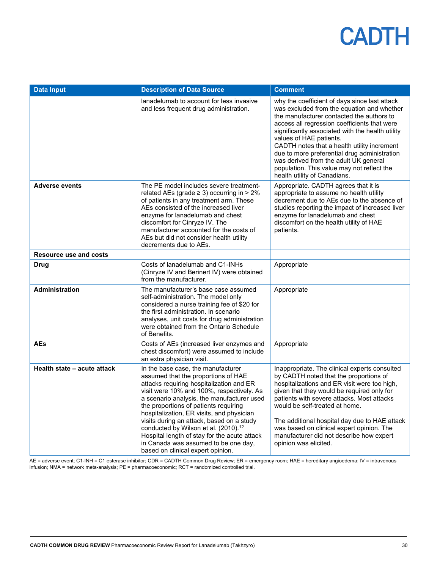| <b>Data Input</b>             | <b>Description of Data Source</b>                                                                                                                                                                                                                                                                                                                                                                                                                                                                                                    | <b>Comment</b>                                                                                                                                                                                                                                                                                                                                                                                                                                                                                |
|-------------------------------|--------------------------------------------------------------------------------------------------------------------------------------------------------------------------------------------------------------------------------------------------------------------------------------------------------------------------------------------------------------------------------------------------------------------------------------------------------------------------------------------------------------------------------------|-----------------------------------------------------------------------------------------------------------------------------------------------------------------------------------------------------------------------------------------------------------------------------------------------------------------------------------------------------------------------------------------------------------------------------------------------------------------------------------------------|
|                               | lanadelumab to account for less invasive<br>and less frequent drug administration.                                                                                                                                                                                                                                                                                                                                                                                                                                                   | why the coefficient of days since last attack<br>was excluded from the equation and whether<br>the manufacturer contacted the authors to<br>access all regression coefficients that were<br>significantly associated with the health utility<br>values of HAE patients.<br>CADTH notes that a health utility increment<br>due to more preferential drug administration<br>was derived from the adult UK general<br>population. This value may not reflect the<br>health utility of Canadians. |
| <b>Adverse events</b>         | The PE model includes severe treatment-<br>related AEs (grade $\geq$ 3) occurring in $>$ 2%<br>of patients in any treatment arm. These<br>AEs consisted of the increased liver<br>enzyme for lanadelumab and chest<br>discomfort for Cinryze IV. The<br>manufacturer accounted for the costs of<br>AEs but did not consider health utility<br>decrements due to AEs.                                                                                                                                                                 | Appropriate. CADTH agrees that it is<br>appropriate to assume no health utility<br>decrement due to AEs due to the absence of<br>studies reporting the impact of increased liver<br>enzyme for lanadelumab and chest<br>discomfort on the health utility of HAE<br>patients.                                                                                                                                                                                                                  |
| <b>Resource use and costs</b> |                                                                                                                                                                                                                                                                                                                                                                                                                                                                                                                                      |                                                                                                                                                                                                                                                                                                                                                                                                                                                                                               |
| <b>Drug</b>                   | Costs of lanadelumab and C1-INHs<br>(Cinryze IV and Berinert IV) were obtained<br>from the manufacturer.                                                                                                                                                                                                                                                                                                                                                                                                                             | Appropriate                                                                                                                                                                                                                                                                                                                                                                                                                                                                                   |
| <b>Administration</b>         | The manufacturer's base case assumed<br>self-administration. The model only<br>considered a nurse training fee of \$20 for<br>the first administration. In scenario<br>analyses, unit costs for drug administration<br>were obtained from the Ontario Schedule<br>of Benefits.                                                                                                                                                                                                                                                       | Appropriate                                                                                                                                                                                                                                                                                                                                                                                                                                                                                   |
| <b>AEs</b>                    | Costs of AEs (increased liver enzymes and<br>chest discomfort) were assumed to include<br>an extra physician visit.                                                                                                                                                                                                                                                                                                                                                                                                                  | Appropriate                                                                                                                                                                                                                                                                                                                                                                                                                                                                                   |
| Health state - acute attack   | In the base case, the manufacturer<br>assumed that the proportions of HAE<br>attacks requiring hospitalization and ER<br>visit were 10% and 100%, respectively. As<br>a scenario analysis, the manufacturer used<br>the proportions of patients requiring<br>hospitalization, ER visits, and physician<br>visits during an attack, based on a study<br>conducted by Wilson et al. (2010). <sup>12</sup><br>Hospital length of stay for the acute attack<br>in Canada was assumed to be one day,<br>based on clinical expert opinion. | Inappropriate. The clinical experts consulted<br>by CADTH noted that the proportions of<br>hospitalizations and ER visit were too high,<br>given that they would be required only for<br>patients with severe attacks. Most attacks<br>would be self-treated at home.<br>The additional hospital day due to HAE attack<br>was based on clinical expert opinion. The<br>manufacturer did not describe how expert<br>opinion was elicited.                                                      |

AE = adverse event; C1-INH = C1 esterase inhibitor; CDR = CADTH Common Drug Review; ER = emergency room; HAE = hereditary angioedema; IV = intravenous infusion; NMA = network meta-analysis; PE = pharmacoeconomic; RCT = randomized controlled trial.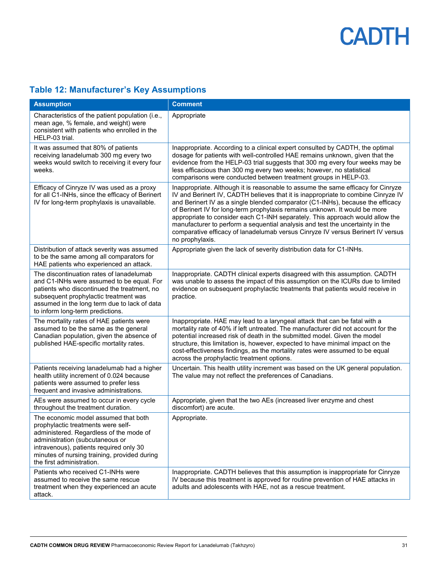#### <span id="page-30-0"></span>**Table 12: Manufacturer's Key Assumptions**

| <b>Assumption</b>                                                                                                                                                                                                                                                                | <b>Comment</b>                                                                                                                                                                                                                                                                                                                                                                                                                                                                                                                                                                                                |
|----------------------------------------------------------------------------------------------------------------------------------------------------------------------------------------------------------------------------------------------------------------------------------|---------------------------------------------------------------------------------------------------------------------------------------------------------------------------------------------------------------------------------------------------------------------------------------------------------------------------------------------------------------------------------------------------------------------------------------------------------------------------------------------------------------------------------------------------------------------------------------------------------------|
| Characteristics of the patient population (i.e.,<br>mean age, % female, and weight) were<br>consistent with patients who enrolled in the<br>HELP-03 trial.                                                                                                                       | Appropriate                                                                                                                                                                                                                                                                                                                                                                                                                                                                                                                                                                                                   |
| It was assumed that 80% of patients<br>receiving lanadelumab 300 mg every two<br>weeks would switch to receiving it every four<br>weeks.                                                                                                                                         | Inappropriate. According to a clinical expert consulted by CADTH, the optimal<br>dosage for patients with well-controlled HAE remains unknown, given that the<br>evidence from the HELP-03 trial suggests that 300 mg every four weeks may be<br>less efficacious than 300 mg every two weeks; however, no statistical<br>comparisons were conducted between treatment groups in HELP-03.                                                                                                                                                                                                                     |
| Efficacy of Cinryze IV was used as a proxy<br>for all C1-INHs, since the efficacy of Berinert<br>IV for long-term prophylaxis is unavailable.                                                                                                                                    | Inappropriate. Although it is reasonable to assume the same efficacy for Cinryze<br>IV and Berinert IV, CADTH believes that it is inappropriate to combine Cinryze IV<br>and Berinert IV as a single blended comparator (C1-INHs), because the efficacy<br>of Berinert IV for long-term prophylaxis remains unknown. It would be more<br>appropriate to consider each C1-INH separately. This approach would allow the<br>manufacturer to perform a sequential analysis and test the uncertainty in the<br>comparative efficacy of lanadelumab versus Cinryze IV versus Berinert IV versus<br>no prophylaxis. |
| Distribution of attack severity was assumed<br>to be the same among all comparators for<br>HAE patients who experienced an attack.                                                                                                                                               | Appropriate given the lack of severity distribution data for C1-INHs.                                                                                                                                                                                                                                                                                                                                                                                                                                                                                                                                         |
| The discontinuation rates of lanadelumab<br>and C1-INHs were assumed to be equal. For<br>patients who discontinued the treatment, no<br>subsequent prophylactic treatment was<br>assumed in the long term due to lack of data<br>to inform long-term predictions.                | Inappropriate. CADTH clinical experts disagreed with this assumption. CADTH<br>was unable to assess the impact of this assumption on the ICURs due to limited<br>evidence on subsequent prophylactic treatments that patients would receive in<br>practice.                                                                                                                                                                                                                                                                                                                                                   |
| The mortality rates of HAE patients were<br>assumed to be the same as the general<br>Canadian population, given the absence of<br>published HAE-specific mortality rates.                                                                                                        | Inappropriate. HAE may lead to a laryngeal attack that can be fatal with a<br>mortality rate of 40% if left untreated. The manufacturer did not account for the<br>potential increased risk of death in the submitted model. Given the model<br>structure, this limitation is, however, expected to have minimal impact on the<br>cost-effectiveness findings, as the mortality rates were assumed to be equal<br>across the prophylactic treatment options.                                                                                                                                                  |
| Patients receiving lanadelumab had a higher<br>health utility increment of 0.024 because<br>patients were assumed to prefer less<br>frequent and invasive administrations.                                                                                                       | Uncertain. This health utility increment was based on the UK general population.<br>The value may not reflect the preferences of Canadians.                                                                                                                                                                                                                                                                                                                                                                                                                                                                   |
| AEs were assumed to occur in every cycle<br>throughout the treatment duration.                                                                                                                                                                                                   | Appropriate, given that the two AEs (increased liver enzyme and chest<br>discomfort) are acute.                                                                                                                                                                                                                                                                                                                                                                                                                                                                                                               |
| The economic model assumed that both<br>prophylactic treatments were self-<br>administered. Regardless of the mode of<br>administration (subcutaneous or<br>intravenous), patients required only 30<br>minutes of nursing training, provided during<br>the first administration. | Appropriate.                                                                                                                                                                                                                                                                                                                                                                                                                                                                                                                                                                                                  |
| Patients who received C1-INHs were<br>assumed to receive the same rescue<br>treatment when they experienced an acute<br>attack.                                                                                                                                                  | Inappropriate. CADTH believes that this assumption is inappropriate for Cinryze<br>IV because this treatment is approved for routine prevention of HAE attacks in<br>adults and adolescents with HAE, not as a rescue treatment.                                                                                                                                                                                                                                                                                                                                                                              |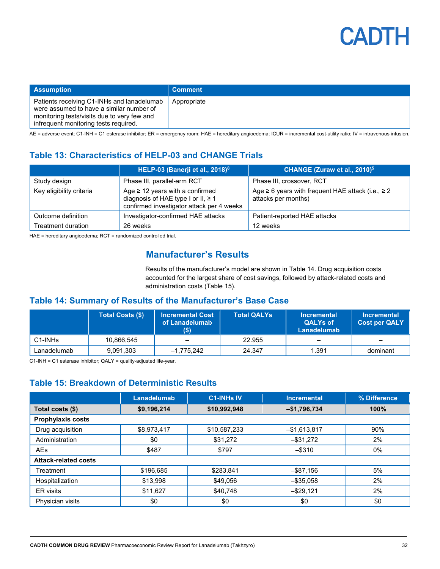

| <b>Assumption</b>                                                                                                                                                              | <b>Comment</b> |
|--------------------------------------------------------------------------------------------------------------------------------------------------------------------------------|----------------|
| Patients receiving C1-INHs and lanadelumab<br>were assumed to have a similar number of<br>monitoring tests/visits due to very few and<br>infrequent monitoring tests required. | Appropriate    |

<span id="page-31-0"></span>AE = adverse event; C1-INH = C1 esterase inhibitor; ER = emergency room; HAE = hereditary angioedema; ICUR = incremental cost-utility ratio; IV = intravenous infusion.

#### **Table 13: Characteristics of HELP-03 and CHANGE Trials**

|                          | HELP-03 (Banerji et al., 2018) <sup>8</sup>                                                                             | CHANGE (Zuraw et al., 2010) <sup>5</sup>                                           |
|--------------------------|-------------------------------------------------------------------------------------------------------------------------|------------------------------------------------------------------------------------|
| Study design             | Phase III, parallel-arm RCT                                                                                             | Phase III, crossover, RCT                                                          |
| Key eligibility criteria | Age $\geq$ 12 years with a confirmed<br>diagnosis of HAE type I or II, ≥ 1<br>confirmed investigator attack per 4 weeks | Age $\geq 6$ years with frequent HAE attack (i.e., $\geq 2$<br>attacks per months) |
| Outcome definition       | Investigator-confirmed HAE attacks                                                                                      | Patient-reported HAE attacks                                                       |
| Treatment duration       | 26 weeks                                                                                                                | 12 weeks                                                                           |

HAE = hereditary angioedema; RCT = randomized controlled trial.

#### **Manufacturer's Results**

Results of the manufacturer's model are shown in Table 14. Drug acquisition costs accounted for the largest share of cost savings, followed by attack-related costs and administration costs (Table 15).

#### <span id="page-31-1"></span>**Table 14: Summary of Results of the Manufacturer's Base Case**

|             | <b>Total Costs (\$)</b> | <b>Incremental Cost</b><br>of Lanadelumab | <b>Total QALYs</b> | <b>Incremental</b><br><b>QALYs of</b><br>Lanadelumab | <b>Incremental</b><br><b>Cost per QALY</b> |
|-------------|-------------------------|-------------------------------------------|--------------------|------------------------------------------------------|--------------------------------------------|
| C1-INHs     | 10,866,545              |                                           | 22.955             |                                                      |                                            |
| Lanadelumab | 9,091,303               | $-1,775,242$                              | 24.347             | 1.391                                                | dominant                                   |

<span id="page-31-2"></span>C1-INH = C1 esterase inhibitor; QALY = quality-adjusted life-year.

#### **Table 15: Breakdown of Deterministic Results**

|                             | <b>Lanadelumab</b> | <b>C1-INHs IV</b> | <b>Incremental</b> | % Difference |
|-----------------------------|--------------------|-------------------|--------------------|--------------|
| Total costs (\$)            | \$9,196,214        | \$10,992,948      | $-$1,796,734$      | 100%         |
| <b>Prophylaxis costs</b>    |                    |                   |                    |              |
| Drug acquisition            | \$8,973,417        | \$10,587,233      | $-$1,613,817$      | 90%          |
| Administration              | \$0                | \$31,272          | $-$ \$31,272       | 2%           |
| <b>AEs</b>                  | \$487              | \$797             | $-$ \$310          | 0%           |
| <b>Attack-related costs</b> |                    |                   |                    |              |
| Treatment                   | \$196,685          | \$283,841         | $-$ \$87,156       | 5%           |
| Hospitalization             | \$13,998           | \$49.056          | $-$ \$35,058       | 2%           |
| <b>ER</b> visits            | \$11,627           | \$40.748          | $-$ \$29,121       | 2%           |
| Physician visits            | \$0                | \$0               | \$0                | \$0          |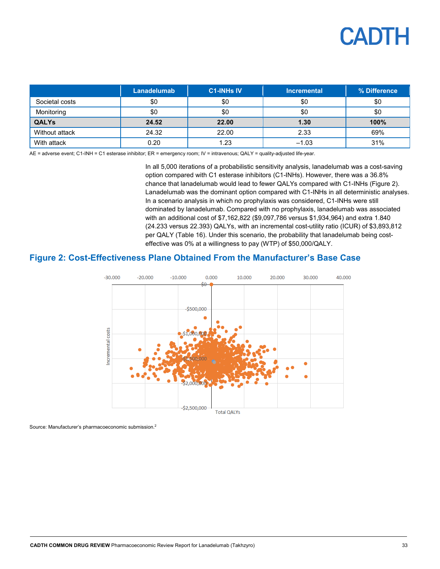|                | Lanadelumab | <b>C1-INHs IV</b> | <b>Incremental</b> | % Difference |
|----------------|-------------|-------------------|--------------------|--------------|
| Societal costs | \$0         | \$0               | \$0                | \$0          |
| Monitoring     | \$0         | \$0               | \$0                | \$0          |
| <b>QALYs</b>   | 24.52       | 22.00             | 1.30               | 100%         |
| Without attack | 24.32       | 22.00             | 2.33               | 69%          |
| With attack    | 0.20        | 1.23              | $-1.03$            | 31%          |

AE = adverse event; C1-INH = C1 esterase inhibitor; ER = emergency room; IV = intravenous; QALY = quality-adjusted life-year.

In all 5,000 iterations of a probabilistic sensitivity analysis, lanadelumab was a cost-saving option compared with C1 esterase inhibitors (C1-INHs). However, there was a 36.8% chance that lanadelumab would lead to fewer QALYs compared with C1-INHs (Figure 2). Lanadelumab was the dominant option compared with C1-INHs in all deterministic analyses. In a scenario analysis in which no prophylaxis was considered, C1-INHs were still dominated by lanadelumab. Compared with no prophylaxis, lanadelumab was associated with an additional cost of \$7,162,822 (\$9,097,786 versus \$1,934,964) and extra 1.840 (24.233 versus 22.393) QALYs, with an incremental cost-utility ratio (ICUR) of \$3,893,812 per QALY (Table 16). Under this scenario, the probability that lanadelumab being costeffective was 0% at a willingness to pay (WTP) of \$50,000/QALY.

#### <span id="page-32-0"></span>**Figure 2: Cost-Effectiveness Plane Obtained From the Manufacturer's Base Case**



Source: Manufacturer's pharmacoeconomic submission. 2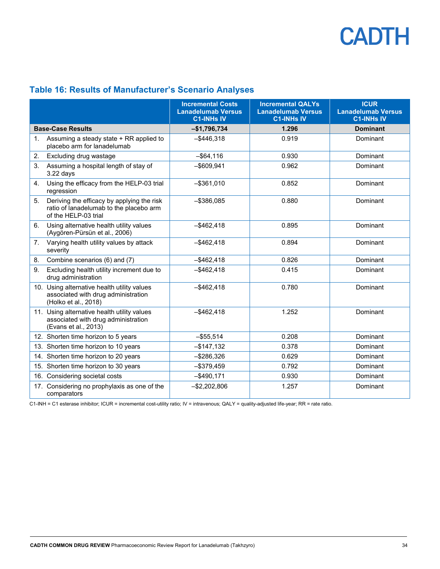### <span id="page-33-0"></span>**Table 16: Results of Manufacturer's Scenario Analyses**

|    |                                                                                                               | <b>Incremental Costs</b><br><b>Lanadelumab Versus</b><br><b>C1-INHs IV</b> | <b>Incremental QALYs</b><br><b>Lanadelumab Versus</b><br><b>C1-INHs IV</b> | <b>ICUR</b><br><b>Lanadelumab Versus</b><br><b>C1-INHs IV</b> |
|----|---------------------------------------------------------------------------------------------------------------|----------------------------------------------------------------------------|----------------------------------------------------------------------------|---------------------------------------------------------------|
|    | <b>Base-Case Results</b>                                                                                      | $-$1,796,734$                                                              | 1.296                                                                      | <b>Dominant</b>                                               |
| 1. | Assuming a steady state + RR applied to<br>placebo arm for lanadelumab                                        | $-$ \$446.318                                                              | 0.919                                                                      | Dominant                                                      |
| 2. | Excluding drug wastage                                                                                        | $-$ \$64,116                                                               | 0.930                                                                      | Dominant                                                      |
| 3. | Assuming a hospital length of stay of<br>$3.22$ days                                                          | $-$ \$609,941                                                              | 0.962                                                                      | Dominant                                                      |
| 4. | Using the efficacy from the HELP-03 trial<br>regression                                                       | $-$ \$361,010                                                              | 0.852                                                                      | Dominant                                                      |
| 5. | Deriving the efficacy by applying the risk<br>ratio of lanadelumab to the placebo arm<br>of the HELP-03 trial | $-$ \$386,085                                                              | 0.880                                                                      | Dominant                                                      |
| 6. | Using alternative health utility values<br>(Aygören-Pürsün et al., 2006)                                      | $-$ \$462,418                                                              | 0.895                                                                      | Dominant                                                      |
| 7. | Varying health utility values by attack<br>severity                                                           | $-$ \$462,418                                                              | 0.894                                                                      | Dominant                                                      |
| 8. | Combine scenarios (6) and (7)                                                                                 | $-$ \$462,418                                                              | 0.826                                                                      | Dominant                                                      |
| 9. | Excluding health utility increment due to<br>drug administration                                              | $-$ \$462,418                                                              | 0.415                                                                      | Dominant                                                      |
|    | 10. Using alternative health utility values<br>associated with drug administration<br>(Holko et al., 2018)    | $-$ \$462,418                                                              | 0.780                                                                      | Dominant                                                      |
|    | 11. Using alternative health utility values<br>associated with drug administration<br>(Evans et al., 2013)    | $-$ \$462,418                                                              | 1.252                                                                      | Dominant                                                      |
|    | 12. Shorten time horizon to 5 years                                                                           | $-$ \$55,514                                                               | 0.208                                                                      | Dominant                                                      |
|    | 13. Shorten time horizon to 10 years                                                                          | $-$ \$147,132                                                              | 0.378                                                                      | Dominant                                                      |
|    | 14. Shorten time horizon to 20 years                                                                          | $-$ \$286,326                                                              | 0.629                                                                      | Dominant                                                      |
|    | 15. Shorten time horizon to 30 years                                                                          | $-$ \$379,459                                                              | 0.792                                                                      | Dominant                                                      |
|    | 16. Considering societal costs                                                                                | $-$490,171$                                                                | 0.930                                                                      | Dominant                                                      |
|    | 17. Considering no prophylaxis as one of the<br>comparators                                                   | $-$2,202,806$                                                              | 1.257                                                                      | Dominant                                                      |

C1-INH = C1 esterase inhibitor; ICUR = incremental cost-utility ratio; IV = intravenous; QALY = quality-adjusted life-year; RR = rate ratio.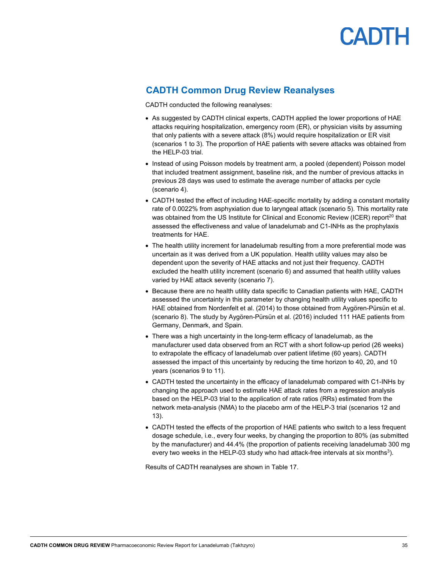

#### **CADTH Common Drug Review Reanalyses**

CADTH conducted the following reanalyses:

- As suggested by CADTH clinical experts, CADTH applied the lower proportions of HAE attacks requiring hospitalization, emergency room (ER), or physician visits by assuming that only patients with a severe attack (8%) would require hospitalization or ER visit (scenarios 1 to 3). The proportion of HAE patients with severe attacks was obtained from the HFI P-03 trial.
- Instead of using Poisson models by treatment arm, a pooled (dependent) Poisson model that included treatment assignment, baseline risk, and the number of previous attacks in previous 28 days was used to estimate the average number of attacks per cycle (scenario 4).
- CADTH tested the effect of including HAE-specific mortality by adding a constant mortality rate of 0.0022% from asphyxiation due to laryngeal attack (scenario 5). This mortality rate was obtained from the US Institute for Clinical and Economic Review (ICER) report<sup>20</sup> that assessed the effectiveness and value of lanadelumab and C1-INHs as the prophylaxis treatments for HAE.
- The health utility increment for lanadelumab resulting from a more preferential mode was uncertain as it was derived from a UK population. Health utility values may also be dependent upon the severity of HAE attacks and not just their frequency. CADTH excluded the health utility increment (scenario 6) and assumed that health utility values varied by HAE attack severity (scenario 7).
- Because there are no health utility data specific to Canadian patients with HAE, CADTH assessed the uncertainty in this parameter by changing health utility values specific to HAE obtained from Nordenfelt et al. (2014) to those obtained from Aygören-Pürsün et al. (scenario 8). The study by Aygören-Pürsün et al. (2016) included 111 HAE patients from Germany, Denmark, and Spain.
- There was a high uncertainty in the long-term efficacy of lanadelumab, as the manufacturer used data observed from an RCT with a short follow-up period (26 weeks) to extrapolate the efficacy of lanadelumab over patient lifetime (60 years). CADTH assessed the impact of this uncertainty by reducing the time horizon to 40, 20, and 10 years (scenarios 9 to 11).
- CADTH tested the uncertainty in the efficacy of lanadelumab compared with C1-INHs by changing the approach used to estimate HAE attack rates from a regression analysis based on the HELP-03 trial to the application of rate ratios (RRs) estimated from the network meta-analysis (NMA) to the placebo arm of the HELP-3 trial (scenarios 12 and 13).
- CADTH tested the effects of the proportion of HAE patients who switch to a less frequent dosage schedule, i.e., every four weeks, by changing the proportion to 80% (as submitted by the manufacturer) and 44.4% (the proportion of patients receiving lanadelumab 300 mg every two weeks in the HELP-03 study who had attack-free intervals at six months<sup>3</sup>).

Results of CADTH reanalyses are shown in [Table 17.](#page-35-0)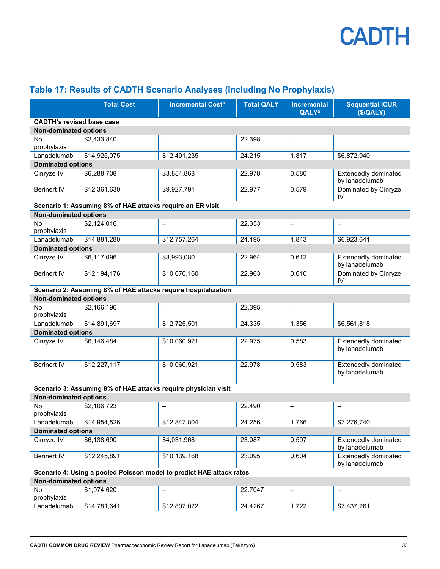

|                                                                      | <b>Total Cost</b>                                              | <b>Incremental Costa</b> | <b>Total QALY</b> | <b>Incremental</b><br><b>QALY</b> <sup>a</sup> | <b>Sequential ICUR</b><br>(S/QALY)     |  |
|----------------------------------------------------------------------|----------------------------------------------------------------|--------------------------|-------------------|------------------------------------------------|----------------------------------------|--|
| <b>CADTH's revised base case</b>                                     |                                                                |                          |                   |                                                |                                        |  |
| <b>Non-dominated options</b>                                         |                                                                |                          |                   |                                                |                                        |  |
| <b>No</b><br>prophylaxis                                             | \$2,433,840                                                    | $\overline{\phantom{0}}$ | 22.398            | $\qquad \qquad -$                              |                                        |  |
| Lanadelumab                                                          | \$14,925,075                                                   | \$12,491,235             | 24.215            | 1.817                                          | \$6,872,940                            |  |
| <b>Dominated options</b>                                             |                                                                |                          |                   |                                                |                                        |  |
| Cinryze IV                                                           | \$6,288,708                                                    | \$3,854,868              | 22.978            | 0.580                                          | Extendedly dominated<br>by lanadelumab |  |
| <b>Berinert IV</b>                                                   | \$12,361,630                                                   | \$9,927,791              | 22.977            | 0.579                                          | Dominated by Cinryze<br>IV             |  |
|                                                                      | Scenario 1: Assuming 8% of HAE attacks require an ER visit     |                          |                   |                                                |                                        |  |
| <b>Non-dominated options</b>                                         |                                                                |                          |                   |                                                |                                        |  |
| No<br>prophylaxis                                                    | \$2,124,016                                                    | $\equiv$                 | 22.353            |                                                |                                        |  |
| Lanadelumab                                                          | \$14,881,280                                                   | \$12,757,264             | 24.195            | 1.843                                          | \$6,923,641                            |  |
| <b>Dominated options</b>                                             |                                                                |                          |                   |                                                |                                        |  |
| Cinryze IV                                                           | \$6,117,096                                                    | \$3,993,080              | 22.964            | 0.612                                          | Extendedly dominated<br>by lanadelumab |  |
| <b>Berinert IV</b>                                                   | \$12,194,176                                                   | \$10,070,160             | 22.963            | 0.610                                          | Dominated by Cinryze<br>IV             |  |
|                                                                      | Scenario 2: Assuming 8% of HAE attacks require hospitalization |                          |                   |                                                |                                        |  |
| <b>Non-dominated options</b>                                         |                                                                |                          |                   |                                                |                                        |  |
| No<br>prophylaxis                                                    | \$2,166,196                                                    | $\qquad \qquad -$        | 22.395            | $\overline{\phantom{m}}$                       | $\overline{\phantom{0}}$               |  |
| Lanadelumab                                                          | \$14,891,697                                                   | \$12,725,501             | 24.335            | 1.356                                          | \$6,561,818                            |  |
| <b>Dominated options</b>                                             |                                                                |                          |                   |                                                |                                        |  |
| Cinryze IV                                                           | \$6,146,484                                                    | \$10,060,921             | 22.975            | 0.583                                          | Extendedly dominated<br>by lanadelumab |  |
| <b>Berinert IV</b>                                                   | \$12,227,117                                                   | \$10,060,921             | 22.978            | 0.583                                          | Extendedly dominated<br>by lanadelumab |  |
|                                                                      | Scenario 3: Assuming 8% of HAE attacks require physician visit |                          |                   |                                                |                                        |  |
| <b>Non-dominated options</b>                                         |                                                                |                          |                   |                                                |                                        |  |
| No<br>prophylaxis                                                    | \$2,106,723                                                    | $\qquad \qquad -$        | 22.490            | $\qquad \qquad -$                              |                                        |  |
| Lanadelumab                                                          | \$14,954,526                                                   | \$12,847,804             | 24.256            | 1.766                                          | \$7,276,740                            |  |
| <b>Dominated options</b>                                             |                                                                |                          |                   |                                                |                                        |  |
| Cinryze IV                                                           | \$6,138,690                                                    | \$4,031,968              | 23.087            | 0.597                                          | Extendedly dominated<br>by lanadelumab |  |
| <b>Berinert IV</b>                                                   | \$12,245,891                                                   | \$10,139,168             | 23.095            | 0.604                                          | Extendedly dominated<br>by lanadelumab |  |
| Scenario 4: Using a pooled Poisson model to predict HAE attack rates |                                                                |                          |                   |                                                |                                        |  |
| <b>Non-dominated options</b>                                         |                                                                |                          |                   |                                                |                                        |  |
| No.<br>prophylaxis                                                   | \$1,974,620                                                    | $\overline{\phantom{0}}$ | 22.7047           | $\overline{\phantom{0}}$                       | $\overline{\phantom{0}}$               |  |
| Lanadelumab                                                          | \$14,781,641                                                   | \$12,807,022             | 24.4267           | 1.722                                          | \$7,437,261                            |  |

#### <span id="page-35-0"></span>**Table 17: Results of CADTH Scenario Analyses (Including No Prophylaxis)**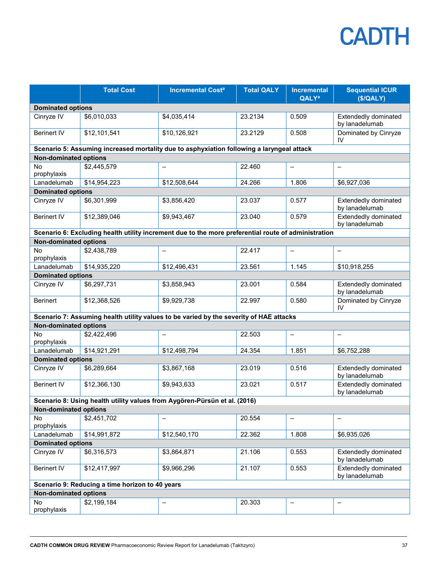|                              | <b>Total Cost</b>                               | <b>Incremental Cost<sup>a</sup></b>                                                                 | <b>Total QALY</b> | <b>Incremental</b><br><b>QALY<sup>a</sup></b> | <b>Sequential ICUR</b><br>(\$/QALY)    |
|------------------------------|-------------------------------------------------|-----------------------------------------------------------------------------------------------------|-------------------|-----------------------------------------------|----------------------------------------|
| <b>Dominated options</b>     |                                                 |                                                                                                     |                   |                                               |                                        |
| Cinryze IV                   | \$6,010,033                                     | \$4,035,414                                                                                         | 23.2134           | 0.509                                         | Extendedly dominated<br>by lanadelumab |
| <b>Berinert IV</b>           | \$12,101,541                                    | \$10,126,921                                                                                        | 23.2129           | 0.508                                         | Dominated by Cinryze<br>IV             |
|                              |                                                 | Scenario 5: Assuming increased mortality due to asphyxiation following a laryngeal attack           |                   |                                               |                                        |
| <b>Non-dominated options</b> |                                                 |                                                                                                     |                   |                                               |                                        |
| No<br>prophylaxis            | \$2,445,579                                     | $\overline{\phantom{0}}$                                                                            | 22.460            | $\overline{\phantom{m}}$                      |                                        |
| Lanadelumab                  | \$14,954,223                                    | \$12,508,644                                                                                        | 24.266            | 1.806                                         | \$6,927,036                            |
| <b>Dominated options</b>     |                                                 |                                                                                                     |                   |                                               |                                        |
| Cinryze IV                   | \$6,301,999                                     | \$3,856,420                                                                                         | 23.037            | 0.577                                         | Extendedly dominated<br>by lanadelumab |
| <b>Berinert IV</b>           | \$12,389,046                                    | \$9,943,467                                                                                         | 23.040            | 0.579                                         | Extendedly dominated<br>by lanadelumab |
|                              |                                                 | Scenario 6: Excluding health utility increment due to the more preferential route of administration |                   |                                               |                                        |
| <b>Non-dominated options</b> |                                                 |                                                                                                     |                   |                                               |                                        |
| No<br>prophylaxis            | \$2,438,789                                     | $\overline{\phantom{0}}$                                                                            | 22.417            | $\equiv$                                      | $\overline{\phantom{0}}$               |
| Lanadelumab                  | \$14,935,220                                    | \$12,496,431                                                                                        | 23.561            | 1.145                                         | \$10,918,255                           |
| <b>Dominated options</b>     |                                                 |                                                                                                     |                   |                                               |                                        |
| Cinryze IV                   | \$6,297,731                                     | \$3,858,943                                                                                         | 23.001            | 0.584                                         | Extendedly dominated<br>by lanadelumab |
| <b>Berinert</b>              | \$12,368,526                                    | \$9,929,738                                                                                         | 22.997            | 0.580                                         | Dominated by Cinryze<br>IV             |
|                              |                                                 | Scenario 7: Assuming health utility values to be varied by the severity of HAE attacks              |                   |                                               |                                        |
| <b>Non-dominated options</b> |                                                 |                                                                                                     |                   |                                               |                                        |
| <b>No</b><br>prophylaxis     | \$2,422,496                                     | $\overline{\phantom{0}}$                                                                            | 22.503            | $\qquad \qquad -$                             | $\equiv$                               |
| Lanadelumab                  | \$14,921,291                                    | \$12,498,794                                                                                        | 24.354            | 1.851                                         | \$6,752,288                            |
| <b>Dominated options</b>     |                                                 |                                                                                                     |                   |                                               |                                        |
| Cinryze IV                   | \$6,289,664                                     | \$3,867,168                                                                                         | 23.019            | 0.516                                         | Extendedly dominated<br>by lanadelumab |
| <b>Berinert IV</b>           | \$12,366,130                                    | \$9,943,633                                                                                         | 23.021            | 0.517                                         | Extendedly dominated<br>by lanadelumab |
|                              |                                                 | Scenario 8: Using health utility values from Aygören-Pürsün et al. (2016)                           |                   |                                               |                                        |
| <b>Non-dominated options</b> |                                                 |                                                                                                     |                   |                                               |                                        |
| <b>No</b><br>prophylaxis     | \$2,451,702                                     | $\overline{\phantom{0}}$                                                                            | 20.554            | $\qquad \qquad -$                             | $\overline{\phantom{0}}$               |
| Lanadelumab                  | \$14,991,872                                    | \$12,540,170                                                                                        | 22.362            | 1.808                                         | \$6,935,026                            |
| <b>Dominated options</b>     |                                                 |                                                                                                     |                   |                                               |                                        |
| Cinryze IV                   | \$6,316,573                                     | \$3,864,871                                                                                         | 21.106            | 0.553                                         | Extendedly dominated<br>by lanadelumab |
| <b>Berinert IV</b>           | \$12,417,997                                    | \$9,966,296                                                                                         | 21.107            | 0.553                                         | Extendedly dominated<br>by lanadelumab |
|                              | Scenario 9: Reducing a time horizon to 40 years |                                                                                                     |                   |                                               |                                        |
| <b>Non-dominated options</b> |                                                 |                                                                                                     |                   |                                               |                                        |
| No<br>prophylaxis            | \$2,199,184                                     | $\overline{\phantom{0}}$                                                                            | 20.303            | $\overline{\phantom{m}}$                      |                                        |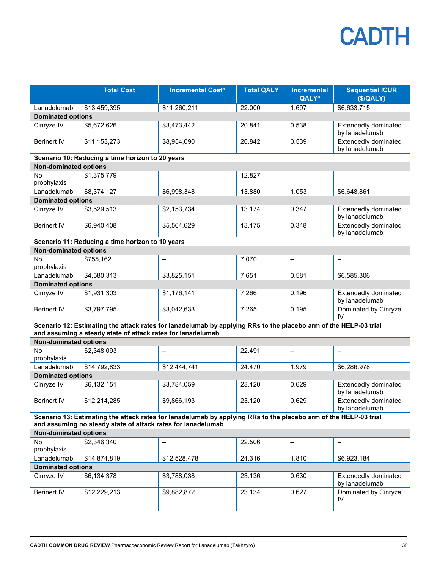|                              | <b>Total Cost</b>                                            | <b>Incremental Cost<sup>a</sup></b>                                                                              | <b>Total QALY</b> | <b>Incremental</b><br><b>QALY</b> <sup>a</sup> | <b>Sequential ICUR</b><br>(\$/QALY)           |  |  |
|------------------------------|--------------------------------------------------------------|------------------------------------------------------------------------------------------------------------------|-------------------|------------------------------------------------|-----------------------------------------------|--|--|
| Lanadelumab                  | \$13,459,395                                                 | \$11,260,211                                                                                                     | 22.000            | 1.697                                          | \$6,633,715                                   |  |  |
| <b>Dominated options</b>     |                                                              |                                                                                                                  |                   |                                                |                                               |  |  |
| Cinryze IV                   | \$5,672,626                                                  | \$3,473,442                                                                                                      | 20.841            | 0.538                                          | <b>Extendedly dominated</b><br>by lanadelumab |  |  |
| <b>Berinert IV</b>           | \$11,153,273                                                 | \$8,954,090                                                                                                      | 20.842            | 0.539                                          | Extendedly dominated<br>by lanadelumab        |  |  |
|                              | Scenario 10: Reducing a time horizon to 20 years             |                                                                                                                  |                   |                                                |                                               |  |  |
| <b>Non-dominated options</b> |                                                              |                                                                                                                  |                   |                                                |                                               |  |  |
| No<br>prophylaxis            | \$1,375,779                                                  | $\overline{\phantom{0}}$                                                                                         | 12.827            | $\qquad \qquad -$                              |                                               |  |  |
| Lanadelumab                  | \$8,374,127                                                  | \$6,998,348                                                                                                      | 13.880            | 1.053                                          | \$6,648,861                                   |  |  |
| <b>Dominated options</b>     |                                                              |                                                                                                                  |                   |                                                |                                               |  |  |
| Cinryze IV                   | \$3,529,513                                                  | \$2,153,734                                                                                                      | 13.174            | 0.347                                          | <b>Extendedly dominated</b><br>by lanadelumab |  |  |
| <b>Berinert IV</b>           | \$6,940,408                                                  | \$5,564,629                                                                                                      | 13.175            | 0.348                                          | Extendedly dominated<br>by lanadelumab        |  |  |
|                              | Scenario 11: Reducing a time horizon to 10 years             |                                                                                                                  |                   |                                                |                                               |  |  |
| <b>Non-dominated options</b> |                                                              |                                                                                                                  |                   |                                                |                                               |  |  |
| No<br>prophylaxis            | \$755,162                                                    | $\overline{\phantom{0}}$                                                                                         | 7.070             | $\qquad \qquad -$                              |                                               |  |  |
| Lanadelumab                  | \$4,580,313                                                  | \$3,825,151                                                                                                      | 7.651             | 0.581                                          | \$6,585,306                                   |  |  |
| <b>Dominated options</b>     |                                                              |                                                                                                                  |                   |                                                |                                               |  |  |
| Cinryze IV                   | \$1,931,303                                                  | \$1,176,141                                                                                                      | 7.266             | 0.196                                          | <b>Extendedly dominated</b><br>by lanadelumab |  |  |
| <b>Berinert IV</b>           | \$3,797,795                                                  | \$3,042,633                                                                                                      | 7.265             | 0.195                                          | Dominated by Cinryze<br>IV                    |  |  |
|                              | and assuming a steady state of attack rates for lanadelumab  | Scenario 12: Estimating the attack rates for lanadelumab by applying RRs to the placebo arm of the HELP-03 trial |                   |                                                |                                               |  |  |
| <b>Non-dominated options</b> |                                                              |                                                                                                                  |                   |                                                |                                               |  |  |
| No<br>prophylaxis            | \$2,348,093                                                  | $\overline{\phantom{m}}$                                                                                         | 22.491            | $\qquad \qquad -$                              | $\overline{\phantom{0}}$                      |  |  |
| Lanadelumab                  | \$14,792,833                                                 | \$12,444,741                                                                                                     | 24.470            | 1.979                                          | \$6,286,978                                   |  |  |
| <b>Dominated options</b>     |                                                              |                                                                                                                  |                   |                                                |                                               |  |  |
| Cinryze IV                   | \$6,132,151                                                  | \$3,784,059                                                                                                      | 23.120            | 0.629                                          | <b>Extendedly dominated</b><br>by lanadelumab |  |  |
| <b>Berinert IV</b>           | \$12,214,285                                                 | \$9,866,193                                                                                                      | 23.120            | 0.629                                          | Extendedly dominated<br>by lanadelumab        |  |  |
|                              | and assuming no steady state of attack rates for lanadelumab | Scenario 13: Estimating the attack rates for lanadelumab by applying RRs to the placebo arm of the HELP-03 trial |                   |                                                |                                               |  |  |
| <b>Non-dominated options</b> |                                                              |                                                                                                                  |                   |                                                |                                               |  |  |
| No.<br>prophylaxis           | \$2,346,340                                                  | $\overline{\phantom{0}}$                                                                                         | 22.506            | $\qquad \qquad -$                              | $\overline{\phantom{0}}$                      |  |  |
| Lanadelumab                  | \$14,874,819                                                 | \$12,528,478                                                                                                     | 24.316            | 1.810                                          | \$6,923,184                                   |  |  |
| <b>Dominated options</b>     |                                                              |                                                                                                                  |                   |                                                |                                               |  |  |
| Cinryze IV                   | \$6,134,378                                                  | \$3,788,038                                                                                                      | 23.136            | 0.630                                          | Extendedly dominated<br>by lanadelumab        |  |  |
| <b>Berinert IV</b>           | \$12,229,213                                                 | \$9,882,872                                                                                                      | 23.134            | 0.627                                          | Dominated by Cinryze<br>IV                    |  |  |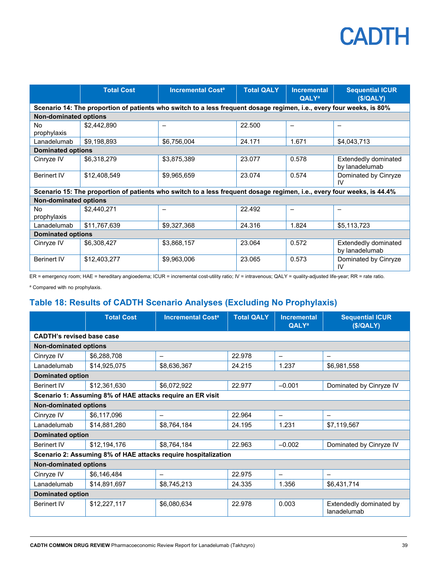|                              | <b>Total Cost</b>                                                                                                      | <b>Incremental Cost<sup>a</sup></b> | <b>Total QALY</b> | <b>Incremental</b><br><b>QALY</b> <sup>a</sup> | <b>Sequential ICUR</b><br>(S/QALY)            |  |
|------------------------------|------------------------------------------------------------------------------------------------------------------------|-------------------------------------|-------------------|------------------------------------------------|-----------------------------------------------|--|
|                              | Scenario 14: The proportion of patients who switch to a less frequent dosage regimen, i.e., every four weeks, is 80%   |                                     |                   |                                                |                                               |  |
| <b>Non-dominated options</b> |                                                                                                                        |                                     |                   |                                                |                                               |  |
| <b>No</b><br>prophylaxis     | \$2,442,890                                                                                                            | $\qquad \qquad$                     | 22.500            | $\overline{\phantom{m}}$                       | $\overline{\phantom{0}}$                      |  |
| Lanadelumab                  | \$9,198,893                                                                                                            | \$6,756,004                         | 24.171            | 1.671                                          | \$4,043,713                                   |  |
| <b>Dominated options</b>     |                                                                                                                        |                                     |                   |                                                |                                               |  |
| Cinryze IV                   | \$6,318,279                                                                                                            | \$3,875,389                         | 23.077            | 0.578                                          | Extendedly dominated<br>by lanadelumab        |  |
| <b>Berinert IV</b>           | \$12,408,549                                                                                                           | \$9,965,659                         | 23.074            | 0.574                                          | Dominated by Cinryze<br>IV                    |  |
|                              | Scenario 15: The proportion of patients who switch to a less frequent dosage regimen, i.e., every four weeks, is 44.4% |                                     |                   |                                                |                                               |  |
| <b>Non-dominated options</b> |                                                                                                                        |                                     |                   |                                                |                                               |  |
| No<br>prophylaxis            | \$2,440,271                                                                                                            |                                     | 22.492            |                                                |                                               |  |
| Lanadelumab                  | \$11,767,639                                                                                                           | \$9,327,368                         | 24.316            | 1.824                                          | \$5,113,723                                   |  |
| <b>Dominated options</b>     |                                                                                                                        |                                     |                   |                                                |                                               |  |
| Cinryze IV                   | \$6,308,427                                                                                                            | \$3,868,157                         | 23.064            | 0.572                                          | <b>Extendedly dominated</b><br>by lanadelumab |  |
| <b>Berinert IV</b>           | \$12,403,277                                                                                                           | \$9,963,006                         | 23.065            | 0.573                                          | Dominated by Cinryze<br>IV                    |  |

ER = emergency room; HAE = hereditary angioedema; ICUR = incremental cost-utility ratio; IV = intravenous; QALY = quality-adjusted life-year; RR = rate ratio.

a Compared with no prophylaxis.

#### <span id="page-38-0"></span>**Table 18: Results of CADTH Scenario Analyses (Excluding No Prophylaxis)**

|                                                                | <b>Total Cost</b> | <b>Incremental Cost<sup>a</sup></b> | <b>Total QALY</b> | <b>Incremental</b><br><b>QALY<sup>a</sup></b> | <b>Sequential ICUR</b><br>(S/QALY)     |
|----------------------------------------------------------------|-------------------|-------------------------------------|-------------------|-----------------------------------------------|----------------------------------------|
| <b>CADTH's revised base case</b>                               |                   |                                     |                   |                                               |                                        |
| <b>Non-dominated options</b>                                   |                   |                                     |                   |                                               |                                        |
| Cinryze IV                                                     | \$6,288,708       | $\overline{\phantom{m}}$            | 22.978            | $\overline{\phantom{0}}$                      | $\overline{\phantom{0}}$               |
| Lanadelumab                                                    | \$14,925,075      | \$8,636,367                         | 24.215            | 1.237                                         | \$6,981,558                            |
| <b>Dominated option</b>                                        |                   |                                     |                   |                                               |                                        |
| <b>Berinert IV</b>                                             | \$12,361,630      | \$6,072,922                         | 22.977            | $-0.001$                                      | Dominated by Cinryze IV                |
| Scenario 1: Assuming 8% of HAE attacks require an ER visit     |                   |                                     |                   |                                               |                                        |
| <b>Non-dominated options</b>                                   |                   |                                     |                   |                                               |                                        |
| Cinryze IV                                                     | \$6,117,096       | $\overline{\phantom{0}}$            | 22.964            | $\overline{\phantom{0}}$                      |                                        |
| Lanadelumab                                                    | \$14,881,280      | \$8,764,184                         | 24.195            | 1.231                                         | \$7,119,567                            |
| <b>Dominated option</b>                                        |                   |                                     |                   |                                               |                                        |
| <b>Berinert IV</b>                                             | \$12,194,176      | \$8,764,184                         | 22.963            | $-0.002$                                      | Dominated by Cinryze IV                |
| Scenario 2: Assuming 8% of HAE attacks require hospitalization |                   |                                     |                   |                                               |                                        |
| <b>Non-dominated options</b>                                   |                   |                                     |                   |                                               |                                        |
| Cinryze IV                                                     | \$6,146,484       |                                     | 22.975            | $\overline{\phantom{0}}$                      |                                        |
| Lanadelumab                                                    | \$14,891,697      | \$8,745,213                         | 24.335            | 1.356                                         | \$6,431,714                            |
| <b>Dominated option</b>                                        |                   |                                     |                   |                                               |                                        |
| <b>Berinert IV</b>                                             | \$12,227,117      | \$6,080,634                         | 22.978            | 0.003                                         | Extendedly dominated by<br>lanadelumab |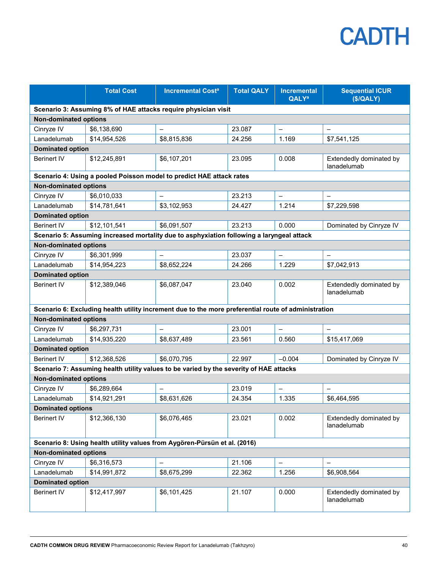|                                                                           | <b>Total Cost</b> | <b>Incremental Cost<sup>a</sup></b>                                                                 | <b>Total QALY</b> | <b>Incremental</b><br><b>QALY<sup>a</sup></b> | <b>Sequential ICUR</b><br>(\$/QALY)    |  |
|---------------------------------------------------------------------------|-------------------|-----------------------------------------------------------------------------------------------------|-------------------|-----------------------------------------------|----------------------------------------|--|
|                                                                           |                   | Scenario 3: Assuming 8% of HAE attacks require physician visit                                      |                   |                                               |                                        |  |
| <b>Non-dominated options</b>                                              |                   |                                                                                                     |                   |                                               |                                        |  |
| Cinryze IV                                                                | \$6,138,690       | $\overline{\phantom{0}}$                                                                            | 23.087            | $\equiv$                                      |                                        |  |
| Lanadelumab                                                               | \$14,954,526      | \$8,815,836                                                                                         | 24.256            | 1.169                                         | \$7,541,125                            |  |
| <b>Dominated option</b>                                                   |                   |                                                                                                     |                   |                                               |                                        |  |
| <b>Berinert IV</b>                                                        | \$12,245,891      | \$6,107,201                                                                                         | 23.095            | 0.008                                         | Extendedly dominated by<br>lanadelumab |  |
|                                                                           |                   | Scenario 4: Using a pooled Poisson model to predict HAE attack rates                                |                   |                                               |                                        |  |
| <b>Non-dominated options</b>                                              |                   |                                                                                                     |                   |                                               |                                        |  |
| Cinryze IV                                                                | \$6,010,033       | $\qquad \qquad -$                                                                                   | 23.213            | $\qquad \qquad -$                             |                                        |  |
| Lanadelumab                                                               | \$14,781,641      | \$3,102,953                                                                                         | 24.427            | 1.214                                         | \$7,229,598                            |  |
| <b>Dominated option</b>                                                   |                   |                                                                                                     |                   |                                               |                                        |  |
| <b>Berinert IV</b>                                                        | \$12,101,541      | \$6,091,507                                                                                         | 23.213            | 0.000                                         | Dominated by Cinryze IV                |  |
|                                                                           |                   | Scenario 5: Assuming increased mortality due to asphyxiation following a laryngeal attack           |                   |                                               |                                        |  |
| <b>Non-dominated options</b>                                              |                   |                                                                                                     |                   |                                               |                                        |  |
| Cinryze IV                                                                | \$6,301,999       | $\equiv$                                                                                            | 23.037            | $\equiv$                                      |                                        |  |
| Lanadelumab                                                               | \$14,954,223      | \$8,652,224                                                                                         | 24.266            | 1.229                                         | \$7,042,913                            |  |
| <b>Dominated option</b>                                                   |                   |                                                                                                     |                   |                                               |                                        |  |
| <b>Berinert IV</b>                                                        | \$12,389,046      | \$6,087,047                                                                                         | 23.040            | 0.002                                         | Extendedly dominated by<br>lanadelumab |  |
|                                                                           |                   | Scenario 6: Excluding health utility increment due to the more preferential route of administration |                   |                                               |                                        |  |
| <b>Non-dominated options</b>                                              |                   |                                                                                                     |                   |                                               |                                        |  |
| Cinryze IV                                                                | \$6,297,731       |                                                                                                     | 23.001            | $\overline{\phantom{0}}$                      |                                        |  |
| Lanadelumab                                                               | \$14,935,220      | \$8,637,489                                                                                         | 23.561            | 0.560                                         | \$15,417,069                           |  |
| <b>Dominated option</b>                                                   |                   |                                                                                                     |                   |                                               |                                        |  |
| <b>Berinert IV</b>                                                        | \$12,368,526      | \$6,070,795                                                                                         | 22.997            | $-0.004$                                      | Dominated by Cinryze IV                |  |
|                                                                           |                   | Scenario 7: Assuming health utility values to be varied by the severity of HAE attacks              |                   |                                               |                                        |  |
| <b>Non-dominated options</b>                                              |                   |                                                                                                     |                   |                                               |                                        |  |
| Cinryze IV                                                                | \$6,289,664       |                                                                                                     | 23.019            | $\equiv$                                      |                                        |  |
| Lanadelumab                                                               | \$14,921,291      | \$8,631,626                                                                                         | 24.354            | 1.335                                         | \$6,464,595                            |  |
| <b>Dominated options</b>                                                  |                   |                                                                                                     |                   |                                               |                                        |  |
| <b>Berinert IV</b>                                                        | \$12,366,130      | \$6,076,465                                                                                         | 23.021            | 0.002                                         | Extendedly dominated by<br>lanadelumab |  |
| Scenario 8: Using health utility values from Aygören-Pürsün et al. (2016) |                   |                                                                                                     |                   |                                               |                                        |  |
| <b>Non-dominated options</b>                                              |                   |                                                                                                     |                   |                                               |                                        |  |
| Cinryze IV                                                                | \$6,316,573       | $\qquad \qquad -$                                                                                   | 21.106            | $\overline{\phantom{0}}$                      |                                        |  |
| Lanadelumab                                                               | \$14,991,872      | \$8,675,299                                                                                         | 22.362            | 1.256                                         | \$6,908,564                            |  |
| <b>Dominated option</b>                                                   |                   |                                                                                                     |                   |                                               |                                        |  |
| <b>Berinert IV</b>                                                        | \$12,417,997      | \$6,101,425                                                                                         | 21.107            | 0.000                                         | Extendedly dominated by<br>lanadelumab |  |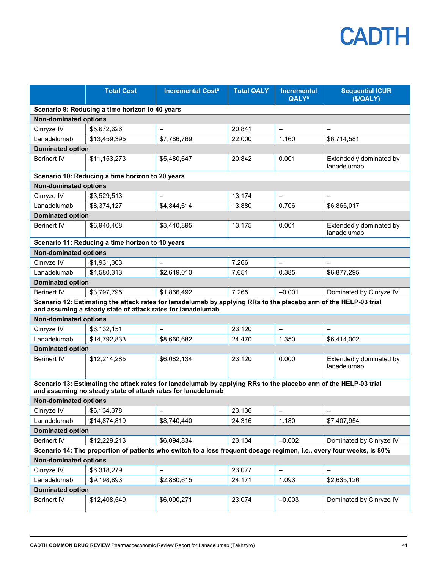|                              | <b>Total Cost</b>                                            | <b>Incremental Cost<sup>a</sup></b>                                                                                  | <b>Total QALY</b> | <b>Incremental</b><br><b>QALY<sup>a</sup></b> | <b>Sequential ICUR</b><br>(\$/QALY)    |  |
|------------------------------|--------------------------------------------------------------|----------------------------------------------------------------------------------------------------------------------|-------------------|-----------------------------------------------|----------------------------------------|--|
|                              | Scenario 9: Reducing a time horizon to 40 years              |                                                                                                                      |                   |                                               |                                        |  |
| <b>Non-dominated options</b> |                                                              |                                                                                                                      |                   |                                               |                                        |  |
| Cinryze IV                   | \$5,672,626                                                  |                                                                                                                      | 20.841            | $\qquad \qquad -$                             |                                        |  |
| Lanadelumab                  | \$13,459,395                                                 | \$7,786,769                                                                                                          | 22.000            | 1.160                                         | \$6,714,581                            |  |
| <b>Dominated option</b>      |                                                              |                                                                                                                      |                   |                                               |                                        |  |
| <b>Berinert IV</b>           | \$11,153,273                                                 | \$5,480,647                                                                                                          | 20.842            | 0.001                                         | Extendedly dominated by<br>lanadelumab |  |
|                              | Scenario 10: Reducing a time horizon to 20 years             |                                                                                                                      |                   |                                               |                                        |  |
| <b>Non-dominated options</b> |                                                              |                                                                                                                      |                   |                                               |                                        |  |
| Cinryze IV                   | \$3,529,513                                                  | $\qquad \qquad -$                                                                                                    | 13.174            | $\qquad \qquad -$                             | $\overline{\phantom{0}}$               |  |
| Lanadelumab                  | \$8,374,127                                                  | \$4,844,614                                                                                                          | 13.880            | 0.706                                         | \$6,865,017                            |  |
| <b>Dominated option</b>      |                                                              |                                                                                                                      |                   |                                               |                                        |  |
| <b>Berinert IV</b>           | \$6,940,408                                                  | \$3,410,895                                                                                                          | 13.175            | 0.001                                         | Extendedly dominated by<br>lanadelumab |  |
|                              | Scenario 11: Reducing a time horizon to 10 years             |                                                                                                                      |                   |                                               |                                        |  |
| <b>Non-dominated options</b> |                                                              |                                                                                                                      |                   |                                               |                                        |  |
| Cinryze IV                   | \$1,931,303                                                  |                                                                                                                      | 7.266             | $\qquad \qquad -$                             |                                        |  |
| Lanadelumab                  | \$4,580,313                                                  | \$2,649,010                                                                                                          | 7.651             | 0.385                                         | \$6,877,295                            |  |
| <b>Dominated option</b>      |                                                              |                                                                                                                      |                   |                                               |                                        |  |
| <b>Berinert IV</b>           | \$3,797,795                                                  | \$1,866,492                                                                                                          | 7.265             | $-0.001$                                      | Dominated by Cinryze IV                |  |
|                              | and assuming a steady state of attack rates for lanadelumab  | Scenario 12: Estimating the attack rates for lanadelumab by applying RRs to the placebo arm of the HELP-03 trial     |                   |                                               |                                        |  |
| <b>Non-dominated options</b> |                                                              |                                                                                                                      |                   |                                               |                                        |  |
| Cinryze IV                   | \$6,132,151                                                  |                                                                                                                      | 23.120            | $\overline{\phantom{0}}$                      |                                        |  |
| Lanadelumab                  | \$14,792,833                                                 | \$8,660,682                                                                                                          | 24.470            | 1.350                                         | \$6,414,002                            |  |
| <b>Dominated option</b>      |                                                              |                                                                                                                      |                   |                                               |                                        |  |
| <b>Berinert IV</b>           | \$12,214,285                                                 | \$6,082,134                                                                                                          | 23.120            | 0.000                                         | Extendedly dominated by<br>lanadelumab |  |
|                              | and assuming no steady state of attack rates for lanadelumab | Scenario 13: Estimating the attack rates for lanadelumab by applying RRs to the placebo arm of the HELP-03 trial     |                   |                                               |                                        |  |
| <b>Non-dominated options</b> |                                                              |                                                                                                                      |                   |                                               |                                        |  |
| Cinryze IV                   | \$6,134,378                                                  |                                                                                                                      | 23.136            | -                                             |                                        |  |
| Lanadelumab                  | \$14,874,819                                                 | \$8,740,440                                                                                                          | 24.316            | 1.180                                         | \$7,407,954                            |  |
| <b>Dominated option</b>      |                                                              |                                                                                                                      |                   |                                               |                                        |  |
| <b>Berinert IV</b>           | \$12,229,213                                                 | \$6,094,834                                                                                                          | 23.134            | $-0.002$                                      | Dominated by Cinryze IV                |  |
|                              |                                                              | Scenario 14: The proportion of patients who switch to a less frequent dosage regimen, i.e., every four weeks, is 80% |                   |                                               |                                        |  |
| <b>Non-dominated options</b> |                                                              |                                                                                                                      |                   |                                               |                                        |  |
| Cinryze IV                   | \$6,318,279                                                  |                                                                                                                      | 23.077            | $\qquad \qquad -$                             | $\qquad \qquad -$                      |  |
| Lanadelumab                  | \$9,198,893                                                  | \$2,880,615                                                                                                          | 24.171            | 1.093                                         | \$2,635,126                            |  |
| <b>Dominated option</b>      |                                                              |                                                                                                                      |                   |                                               |                                        |  |
| <b>Berinert IV</b>           | \$12,408,549                                                 | \$6,090,271                                                                                                          | 23.074            | $-0.003$                                      | Dominated by Cinryze IV                |  |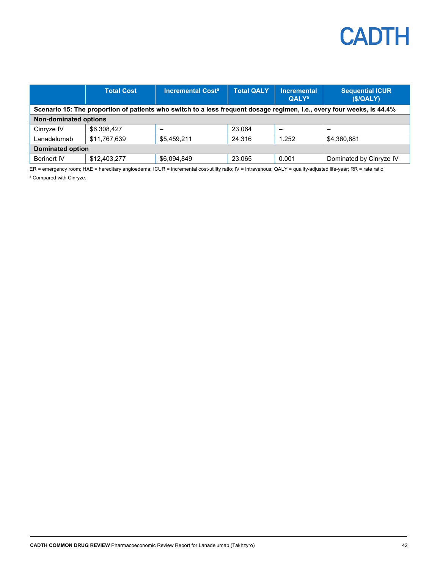|                                                                                                                        | <b>Total Cost</b> | <b>Incremental Cost<sup>a</sup></b> | <b>Total QALY</b> | <b>Incremental</b><br><b>QALY<sup>a</sup></b> | <b>Sequential ICUR</b><br>(S/QALY) |
|------------------------------------------------------------------------------------------------------------------------|-------------------|-------------------------------------|-------------------|-----------------------------------------------|------------------------------------|
| Scenario 15: The proportion of patients who switch to a less frequent dosage regimen, i.e., every four weeks, is 44.4% |                   |                                     |                   |                                               |                                    |
| <b>Non-dominated options</b>                                                                                           |                   |                                     |                   |                                               |                                    |
| Cinryze IV                                                                                                             | \$6,308,427       |                                     | 23.064            |                                               |                                    |
| Lanadelumab                                                                                                            | \$11,767,639      | \$5.459.211                         | 24.316            | 1.252                                         | \$4,360,881                        |
| <b>Dominated option</b>                                                                                                |                   |                                     |                   |                                               |                                    |
| <b>Berinert IV</b>                                                                                                     | \$12,403,277      | \$6,094,849                         | 23.065            | 0.001                                         | Dominated by Cinryze IV            |

ER = emergency room; HAE = hereditary angioedema; ICUR = incremental cost-utility ratio; IV = intravenous; QALY = quality-adjusted life-year; RR = rate ratio. <sup>a</sup> Compared with Cinryze.